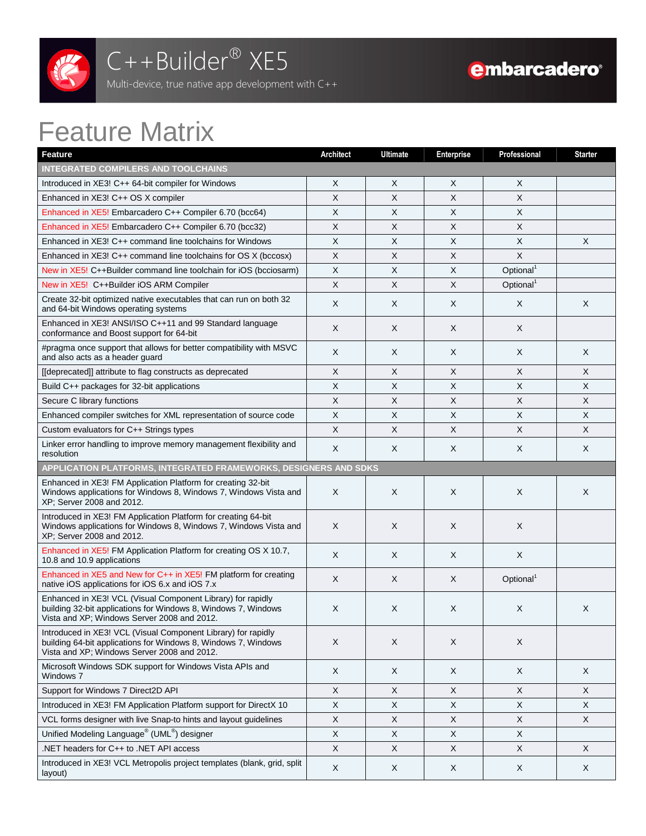

## C++Builder<sup>®</sup> XE5

Multi-device, true native app development with C++

## Feature Matrix

| <b>Feature</b>                                                                                                                                                                 | <b>Architect</b> | <b>Ultimate</b> | <b>Enterprise</b> | Professional              | <b>Starter</b>            |
|--------------------------------------------------------------------------------------------------------------------------------------------------------------------------------|------------------|-----------------|-------------------|---------------------------|---------------------------|
| <b>INTEGRATED COMPILERS AND TOOLCHAINS</b>                                                                                                                                     |                  |                 |                   |                           |                           |
| Introduced in XE3! C++ 64-bit compiler for Windows                                                                                                                             | X                | X               | Χ                 | X                         |                           |
| Enhanced in XE3! C++ OS X compiler                                                                                                                                             | X                | X               | X                 | X                         |                           |
| Enhanced in XE5! Embarcadero C++ Compiler 6.70 (bcc64)                                                                                                                         | X                | X               | $\times$          | X                         |                           |
| Enhanced in XE5! Embarcadero C++ Compiler 6.70 (bcc32)                                                                                                                         | X                | X               | X                 | $\boldsymbol{\mathsf{X}}$ |                           |
| Enhanced in $XE3! C++$ command line toolchains for Windows                                                                                                                     | X                | X               | X                 | X                         | X                         |
| Enhanced in XE3! C++ command line toolchains for OS X (bccosx)                                                                                                                 | X                | X               | X                 | $\boldsymbol{\mathsf{X}}$ |                           |
| New in XE5! C++Builder command line toolchain for iOS (bcciosarm)                                                                                                              | X                | $\pmb{\times}$  | X                 | Optional <sup>1</sup>     |                           |
| New in XE5! C++Builder iOS ARM Compiler                                                                                                                                        | X                | X               | X                 | Optional <sup>1</sup>     |                           |
| Create 32-bit optimized native executables that can run on both 32<br>and 64-bit Windows operating systems                                                                     | X                | X               | X                 | X                         | X                         |
| Enhanced in XE3! ANSI/ISO C++11 and 99 Standard language<br>conformance and Boost support for 64-bit                                                                           | X                | X               | X                 | X                         |                           |
| #pragma once support that allows for better compatibility with MSVC<br>and also acts as a header guard                                                                         | X                | X               | X                 | X                         | X                         |
| [[deprecated]] attribute to flag constructs as deprecated                                                                                                                      | X                | X               | X                 | $\times$                  | $\mathsf{X}$              |
| Build C++ packages for 32-bit applications                                                                                                                                     | X                | X               | X                 | X                         | X                         |
| Secure C library functions                                                                                                                                                     | X                | Χ               | Χ                 | X                         | X                         |
| Enhanced compiler switches for XML representation of source code                                                                                                               | $\times$         | X               | X                 | $\times$                  | $\boldsymbol{\mathsf{X}}$ |
| Custom evaluators for C++ Strings types                                                                                                                                        | X                | X               | X                 | $\mathsf X$               | $\boldsymbol{\mathsf{X}}$ |
| Linker error handling to improve memory management flexibility and<br>resolution                                                                                               | X                | X               | X                 | X                         | X                         |
| APPLICATION PLATFORMS, INTEGRATED FRAMEWORKS, DESIGNERS AND SDKS                                                                                                               |                  |                 |                   |                           |                           |
| Enhanced in XE3! FM Application Platform for creating 32-bit<br>Windows applications for Windows 8, Windows 7, Windows Vista and<br>XP; Server 2008 and 2012.                  | X                | X               | X                 | X                         | X                         |
| Introduced in XE3! FM Application Platform for creating 64-bit<br>Windows applications for Windows 8, Windows 7, Windows Vista and<br>XP; Server 2008 and 2012.                | X                | X               | X                 | X                         |                           |
| Enhanced in XE5! FM Application Platform for creating OS X 10.7,<br>10.8 and 10.9 applications                                                                                 | X                | X               | X                 | X                         |                           |
| Enhanced in XE5 and New for C++ in XE5! FM platform for creating<br>native iOS applications for iOS 6.x and iOS 7.x                                                            | X                | X               | X                 | Optional <sup>1</sup>     |                           |
| Enhanced in XE3! VCL (Visual Component Library) for rapidly<br>building 32-bit applications for Windows 8, Windows 7, Windows<br>Vista and XP; Windows Server 2008 and 2012.   | X                | X               | X                 | X                         | X                         |
| Introduced in XE3! VCL (Visual Component Library) for rapidly<br>building 64-bit applications for Windows 8, Windows 7, Windows<br>Vista and XP; Windows Server 2008 and 2012. | X                | X               | X                 | X                         |                           |
| Microsoft Windows SDK support for Windows Vista APIs and<br>Windows 7                                                                                                          | X                | X               | X                 | X                         | X                         |
| Support for Windows 7 Direct2D API                                                                                                                                             | X                | X               | X                 | X                         | X                         |
| Introduced in XE3! FM Application Platform support for DirectX 10                                                                                                              | X                | X               | X                 | X                         | X                         |
| VCL forms designer with live Snap-to hints and layout guidelines                                                                                                               | X                | $\mathsf X$     | X                 | X                         | X                         |
| Unified Modeling Language <sup>®</sup> (UML <sup>®</sup> ) designer                                                                                                            | X                | X               | X                 | X                         |                           |
| .NET headers for C++ to .NET API access                                                                                                                                        | X                | X               | X                 | X                         | X                         |
| Introduced in XE3! VCL Metropolis project templates (blank, grid, split<br>layout)                                                                                             | X                | X               | X                 | X                         | X                         |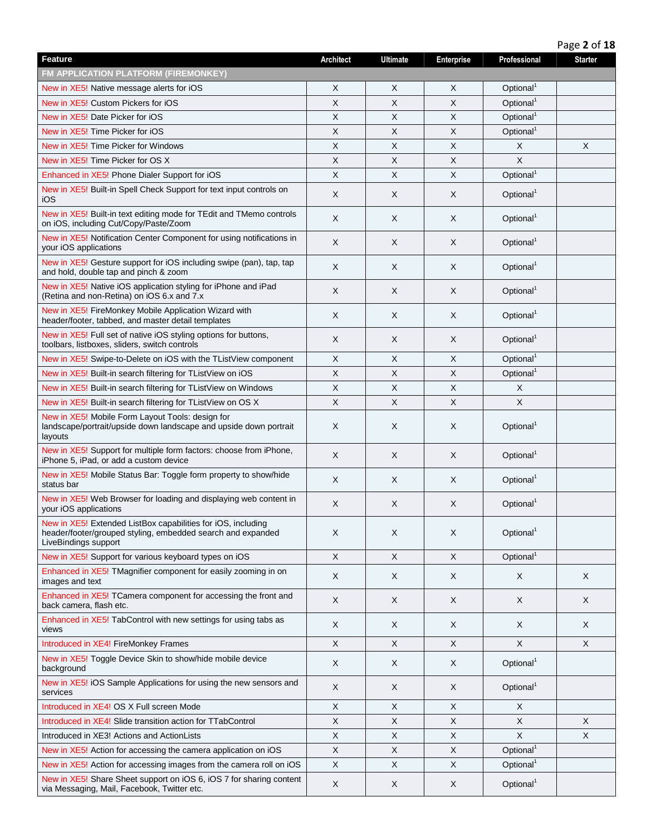|                                                                                                                                                     |                  |                 |                           |                       | Page 2 of 18   |
|-----------------------------------------------------------------------------------------------------------------------------------------------------|------------------|-----------------|---------------------------|-----------------------|----------------|
| <b>Feature</b>                                                                                                                                      | <b>Architect</b> | <b>Ultimate</b> | Enterprise                | Professional          | <b>Starter</b> |
| <b>FM APPLICATION PLATFORM (FIREMONKEY)</b>                                                                                                         |                  |                 |                           |                       |                |
| New in XE5! Native message alerts for iOS                                                                                                           | X                | Χ               | X                         | Optional <sup>1</sup> |                |
| New in XE5! Custom Pickers for iOS                                                                                                                  | X                | X               | X                         | Optional <sup>1</sup> |                |
| New in XE5! Date Picker for iOS                                                                                                                     | X                | X               | X                         | Optional <sup>1</sup> |                |
| New in XE5! Time Picker for iOS                                                                                                                     | X                | X               | X                         | Optional <sup>1</sup> |                |
| New in XE5! Time Picker for Windows                                                                                                                 | X                | X               | X                         | X                     | X              |
| New in XE5! Time Picker for OS X                                                                                                                    | X                | X               | X                         | X                     |                |
| Enhanced in XE5! Phone Dialer Support for iOS                                                                                                       | X                | X               | $\times$                  | Optional <sup>1</sup> |                |
| New in XE5! Built-in Spell Check Support for text input controls on<br>iOS                                                                          | X                | X               | X                         | Optional <sup>1</sup> |                |
| New in XE5! Built-in text editing mode for TEdit and TMemo controls<br>on iOS, including Cut/Copy/Paste/Zoom                                        | X                | X               | X                         | Optional <sup>1</sup> |                |
| New in XE5! Notification Center Component for using notifications in<br>your iOS applications                                                       | X                | X               | X                         | Optional <sup>1</sup> |                |
| New in XE5! Gesture support for iOS including swipe (pan), tap, tap<br>and hold, double tap and pinch & zoom                                        | X                | X               | $\times$                  | Optional <sup>1</sup> |                |
| New in XE5! Native iOS application styling for iPhone and iPad<br>(Retina and non-Retina) on iOS 6.x and 7.x                                        | X                | Χ               | X                         | Optional <sup>1</sup> |                |
| New in XE5! FireMonkey Mobile Application Wizard with<br>header/footer, tabbed, and master detail templates                                         | X                | X               | X                         | Optional <sup>1</sup> |                |
| New in XE5! Full set of native iOS styling options for buttons,<br>toolbars, listboxes, sliders, switch controls                                    | X                | Χ               | X                         | Optional <sup>1</sup> |                |
| New in XE5! Swipe-to-Delete on iOS with the TListView component                                                                                     | X                | X               | $\times$                  | Optional <sup>1</sup> |                |
| New in XE5! Built-in search filtering for TListView on iOS                                                                                          | X                | X               | $\times$                  | Optional <sup>1</sup> |                |
| New in XE5! Built-in search filtering for TListView on Windows                                                                                      | X                | X               | $\times$                  | X                     |                |
| New in XE5! Built-in search filtering for TListView on OS X                                                                                         | X                | X               | $\boldsymbol{\mathsf{X}}$ | X                     |                |
| New in XE5! Mobile Form Layout Tools: design for<br>landscape/portrait/upside down landscape and upside down portrait<br>layouts                    | X                | Χ               | X                         | Optional <sup>1</sup> |                |
| New in XE5! Support for multiple form factors: choose from iPhone,<br>iPhone 5, iPad, or add a custom device                                        | X                | X               | X                         | Optional <sup>1</sup> |                |
| New in XE5! Mobile Status Bar: Toggle form property to show/hide<br>status bar                                                                      | X                | X               | X                         | Optional <sup>1</sup> |                |
| New in XE5! Web Browser for loading and displaying web content in<br>your iOS applications                                                          | X                | Χ               | X                         | Optional <sup>1</sup> |                |
| New in XE5! Extended ListBox capabilities for iOS, including<br>header/footer/grouped styling, embedded search and expanded<br>LiveBindings support | X                | X               | $\sf X$                   | Optional <sup>1</sup> |                |
| New in XE5! Support for various keyboard types on iOS                                                                                               | $\times$         | $\mathsf{X}$    | $\times$                  | Optional <sup>1</sup> |                |
| Enhanced in XE5! TMagnifier component for easily zooming in on<br>images and text                                                                   | X                | X               | X                         | X                     | X              |
| Enhanced in XE5! TCamera component for accessing the front and<br>back camera, flash etc.                                                           | X                | X               | X                         | X                     | X              |
| Enhanced in XE5! TabControl with new settings for using tabs as<br>views                                                                            | X                | X               | $\sf X$                   | X                     | X              |
| Introduced in XE4! FireMonkey Frames                                                                                                                | X                | X               | X                         | X                     | X              |
| New in XE5! Toggle Device Skin to show/hide mobile device<br>background                                                                             | X                | X               | X                         | Optional <sup>1</sup> |                |
| New in XE5! iOS Sample Applications for using the new sensors and<br>services                                                                       | X                | X               | X                         | Optional <sup>1</sup> |                |
| Introduced in XE4! OS X Full screen Mode                                                                                                            | Χ                | X               | X                         | Χ                     |                |
| Introduced in XE4! Slide transition action for TTabControl                                                                                          | X                | X               | $\boldsymbol{\mathsf{X}}$ | X                     | X              |
| Introduced in XE3! Actions and ActionLists                                                                                                          | X                | X               | $\times$                  | X                     | X              |
| New in XE5! Action for accessing the camera application on iOS                                                                                      | X                | X               | X                         | Optional <sup>1</sup> |                |
| New in XE5! Action for accessing images from the camera roll on iOS                                                                                 | X                | X               | X                         | Optional <sup>1</sup> |                |
| New in XE5! Share Sheet support on iOS 6, iOS 7 for sharing content<br>via Messaging, Mail, Facebook, Twitter etc.                                  | X                | X               | X                         | Optional <sup>1</sup> |                |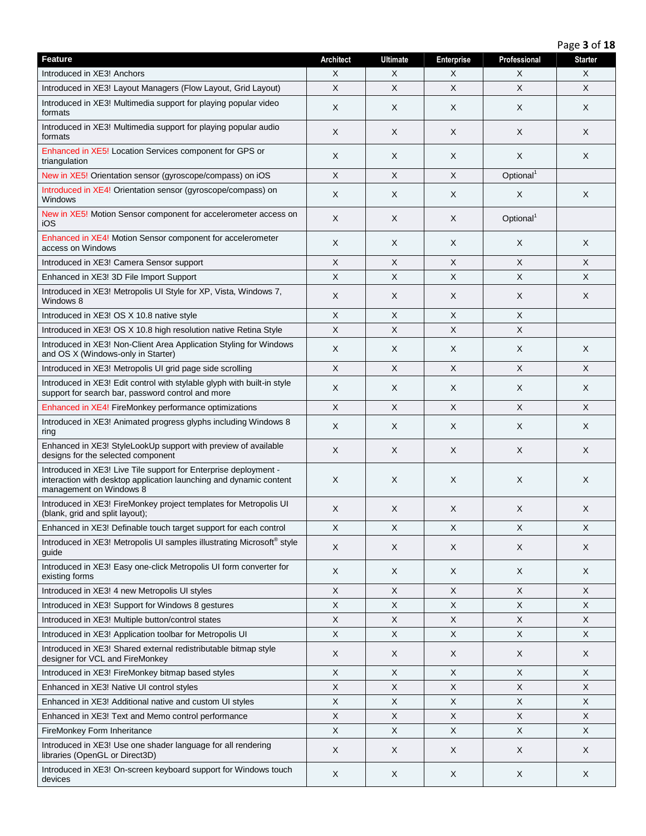Page **3** of **18**

| <b>Feature</b>                                                                                                                                                    | <b>Architect</b> | <b>Ultimate</b> | <b>Enterprise</b> | Professional          | <b>Starter</b> |
|-------------------------------------------------------------------------------------------------------------------------------------------------------------------|------------------|-----------------|-------------------|-----------------------|----------------|
| Introduced in XE3! Anchors                                                                                                                                        | X                | X               | X                 | X                     | X              |
| Introduced in XE3! Layout Managers (Flow Layout, Grid Layout)                                                                                                     | X                | X               | $\times$          | X                     | X              |
| Introduced in XE3! Multimedia support for playing popular video<br>formats                                                                                        | X                | X               | X                 | X                     | X              |
| Introduced in XE3! Multimedia support for playing popular audio<br>formats                                                                                        | X                | X               | X                 | X                     | X              |
| Enhanced in XE5! Location Services component for GPS or<br>triangulation                                                                                          | X                | X               | X                 | X                     | X              |
| New in XE5! Orientation sensor (gyroscope/compass) on iOS                                                                                                         | X                | X               | X                 | Optional <sup>1</sup> |                |
| Introduced in XE4! Orientation sensor (gyroscope/compass) on<br>Windows                                                                                           | X                | X               | X                 | X                     | X              |
| New in XE5! Motion Sensor component for accelerometer access on<br>iOS                                                                                            | X                | X               | X                 | Optional <sup>1</sup> |                |
| Enhanced in XE4! Motion Sensor component for accelerometer<br>access on Windows                                                                                   | X                | X               | X                 | X                     | X              |
| Introduced in XE3! Camera Sensor support                                                                                                                          | X                | X               | X                 | X                     | X              |
| Enhanced in XE3! 3D File Import Support                                                                                                                           | X                | Χ               | X                 | X                     | X              |
| Introduced in XE3! Metropolis UI Style for XP, Vista, Windows 7,<br>Windows 8                                                                                     | X                | X               | X                 | X                     | X              |
| Introduced in XE3! OS X 10.8 native style                                                                                                                         | X                | X               | X                 | X                     |                |
| Introduced in XE3! OS X 10.8 high resolution native Retina Style                                                                                                  | X                | X               | X                 | X                     |                |
| Introduced in XE3! Non-Client Area Application Styling for Windows<br>and OS X (Windows-only in Starter)                                                          | X                | X               | X                 | X                     | X              |
| Introduced in XE3! Metropolis UI grid page side scrolling                                                                                                         | $\mathsf X$      | $\sf X$         | $\times$          | X                     | X              |
| Introduced in XE3! Edit control with stylable glyph with built-in style<br>support for search bar, password control and more                                      | X                | X               | X                 | X                     | X              |
| Enhanced in XE4! FireMonkey performance optimizations                                                                                                             | $\mathsf{X}$     | $\mathsf{X}$    | $\sf X$           | X                     | $\pmb{\times}$ |
| Introduced in XE3! Animated progress glyphs including Windows 8<br>ring                                                                                           | X                | X               | X                 | X                     | X              |
| Enhanced in XE3! StyleLookUp support with preview of available<br>designs for the selected component                                                              | X                | X               | X                 | X                     | X              |
| Introduced in XE3! Live Tile support for Enterprise deployment -<br>interaction with desktop application launching and dynamic content<br>management on Windows 8 | X                | X               | X                 | Χ                     | X              |
| Introduced in XE3! FireMonkey project templates for Metropolis UI<br>(blank, grid and split layout);                                                              | X                | X               | X                 | X                     | X              |
| Enhanced in XE3! Definable touch target support for each control                                                                                                  | X                | X               | X                 | X                     | X              |
| Introduced in XE3! Metropolis UI samples illustrating Microsoft® style<br>guide                                                                                   | X                | X               | X                 | X                     | X              |
| Introduced in XE3! Easy one-click Metropolis UI form converter for<br>existing forms                                                                              | X                | X               | X                 | X                     | X              |
| Introduced in XE3! 4 new Metropolis UI styles                                                                                                                     | X                | $\sf X$         | X                 | X                     | X              |
| Introduced in XE3! Support for Windows 8 gestures                                                                                                                 | X                | X               | X                 | X                     | X              |
| Introduced in XE3! Multiple button/control states                                                                                                                 | X                | X               | X                 | X                     | X              |
| Introduced in XE3! Application toolbar for Metropolis UI                                                                                                          | X                | $\mathsf X$     | X                 | $\mathsf X$           | X              |
| Introduced in XE3! Shared external redistributable bitmap style<br>designer for VCL and FireMonkey                                                                | X                | X               | X                 | X                     | X              |
| Introduced in XE3! FireMonkey bitmap based styles                                                                                                                 | X                | X               | X                 | X                     | X              |
| Enhanced in XE3! Native UI control styles                                                                                                                         | X                | X               | X                 | X                     | X              |
| Enhanced in XE3! Additional native and custom UI styles                                                                                                           | X                | X               | X                 | X                     | X              |
| Enhanced in XE3! Text and Memo control performance                                                                                                                | X                | X               | X                 | X                     | X              |
| FireMonkey Form Inheritance                                                                                                                                       | X                | X               | X                 | X                     | X              |
| Introduced in XE3! Use one shader language for all rendering<br>libraries (OpenGL or Direct3D)                                                                    | X                | X               | X                 | X                     | X              |
| Introduced in XE3! On-screen keyboard support for Windows touch<br>devices                                                                                        | X                | X               | $\mathsf{X}$      | X                     | X              |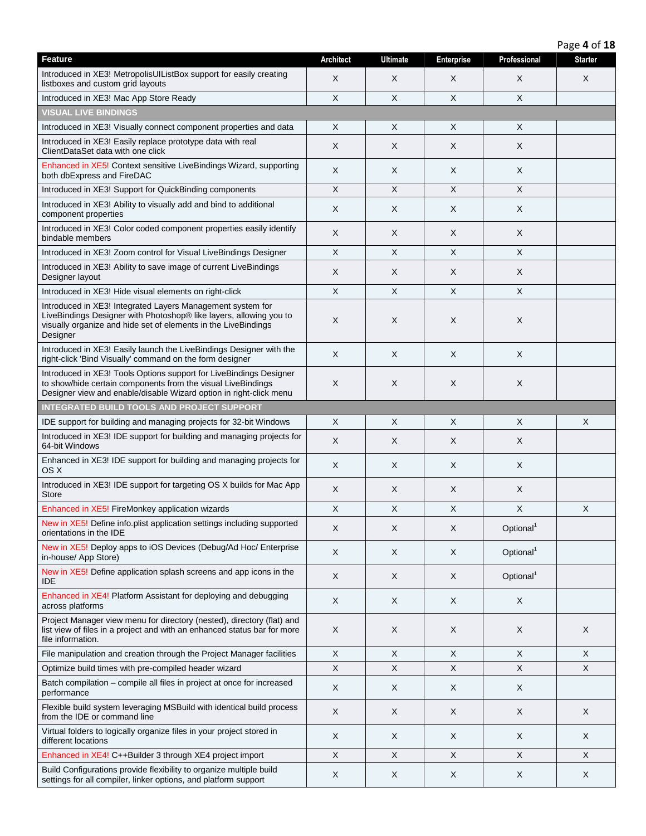| Page 4 of 18 |  |  |  |
|--------------|--|--|--|
|--------------|--|--|--|

| Feature                                                                                                                                                                                                        | <b>Architect</b> | <b>Ultimate</b> | <b>Enterprise</b> | Professional          | o<br><b>Starter</b>       |
|----------------------------------------------------------------------------------------------------------------------------------------------------------------------------------------------------------------|------------------|-----------------|-------------------|-----------------------|---------------------------|
| Introduced in XE3! MetropolisUIListBox support for easily creating<br>listboxes and custom grid layouts                                                                                                        | X                | X               | X                 | X                     | X                         |
| Introduced in XE3! Mac App Store Ready                                                                                                                                                                         | X                | $\times$        | X                 | $\times$              |                           |
| <b>VISUAL LIVE BINDINGS</b>                                                                                                                                                                                    |                  |                 |                   |                       |                           |
| Introduced in XE3! Visually connect component properties and data                                                                                                                                              | Χ                | X               | Χ                 | X                     |                           |
| Introduced in XE3! Easily replace prototype data with real<br>ClientDataSet data with one click                                                                                                                | X                | X               | X                 | X                     |                           |
| Enhanced in XE5! Context sensitive LiveBindings Wizard, supporting<br>both dbExpress and FireDAC                                                                                                               | X                | X               | X                 | X                     |                           |
| Introduced in XE3! Support for QuickBinding components                                                                                                                                                         | $\mathsf X$      | X               | X                 | X                     |                           |
| Introduced in XE3! Ability to visually add and bind to additional<br>component properties                                                                                                                      | X                | X               | X                 | X                     |                           |
| Introduced in XE3! Color coded component properties easily identify<br>bindable members                                                                                                                        | Χ                | X               | X                 | X                     |                           |
| Introduced in XE3! Zoom control for Visual LiveBindings Designer                                                                                                                                               | X                | X               | X                 | X                     |                           |
| Introduced in XE3! Ability to save image of current LiveBindings<br>Designer layout                                                                                                                            | X                | X               | X                 | X                     |                           |
| Introduced in XE3! Hide visual elements on right-click                                                                                                                                                         | X                | X               | X                 | X                     |                           |
| Introduced in XE3! Integrated Layers Management system for<br>LiveBindings Designer with Photoshop® like layers, allowing you to<br>visually organize and hide set of elements in the LiveBindings<br>Designer | X                | X               | X                 | $\times$              |                           |
| Introduced in XE3! Easily launch the LiveBindings Designer with the<br>right-click 'Bind Visually' command on the form designer                                                                                | X                | X               | X                 | X                     |                           |
| Introduced in XE3! Tools Options support for LiveBindings Designer<br>to show/hide certain components from the visual LiveBindings<br>Designer view and enable/disable Wizard option in right-click menu       | X                | X               | X                 | X                     |                           |
| <b>INTEGRATED BUILD TOOLS AND PROJECT SUPPORT</b>                                                                                                                                                              |                  |                 |                   |                       |                           |
| IDE support for building and managing projects for 32-bit Windows                                                                                                                                              | X                | X               | X                 | $\times$              | $\times$                  |
| Introduced in XE3! IDE support for building and managing projects for<br>64-bit Windows                                                                                                                        | X                | X               | X                 | X                     |                           |
| Enhanced in XE3! IDE support for building and managing projects for<br>OS X                                                                                                                                    | X                | X               | X                 | X                     |                           |
| Introduced in XE3! IDE support for targeting OS X builds for Mac App<br><b>Store</b>                                                                                                                           | X                | X               | X                 | X                     |                           |
| Enhanced in XE5! FireMonkey application wizards                                                                                                                                                                | X                | X               | X                 | X                     | $\boldsymbol{\mathsf{X}}$ |
| New in XE5! Define info.plist application settings including supported<br>orientations in the IDE                                                                                                              | X                | X               | X                 | Optional <sup>1</sup> |                           |
| New in XE5! Deploy apps to iOS Devices (Debug/Ad Hoc/ Enterprise<br>in-house/ App Store)                                                                                                                       | X                | X               | X                 | Optional <sup>1</sup> |                           |
| New in XE5! Define application splash screens and app icons in the<br>IDE                                                                                                                                      | X                | X               | X                 | Optional <sup>1</sup> |                           |
| Enhanced in XE4! Platform Assistant for deploying and debugging<br>across platforms                                                                                                                            | X                | X               | X                 | $\pmb{\times}$        |                           |
| Project Manager view menu for directory (nested), directory (flat) and<br>list view of files in a project and with an enhanced status bar for more<br>file information.                                        | X                | X               | X                 | X                     | X                         |
| File manipulation and creation through the Project Manager facilities                                                                                                                                          | $\mathsf X$      | X               | X                 | X                     | X                         |
| Optimize build times with pre-compiled header wizard                                                                                                                                                           | X                | X               | X                 | X                     | X                         |
| Batch compilation - compile all files in project at once for increased<br>performance                                                                                                                          | X                | X               | X                 | X                     |                           |
| Flexible build system leveraging MSBuild with identical build process<br>from the IDE or command line                                                                                                          | X                | X               | X                 | X                     | X                         |
| Virtual folders to logically organize files in your project stored in<br>different locations                                                                                                                   | X                | X               | X                 | X                     | X                         |
| Enhanced in XE4! C++Builder 3 through XE4 project import                                                                                                                                                       | X                | X               | X                 | X                     | X                         |
| Build Configurations provide flexibility to organize multiple build<br>settings for all compiler, linker options, and platform support                                                                         | X                | X               | X                 | X                     | X                         |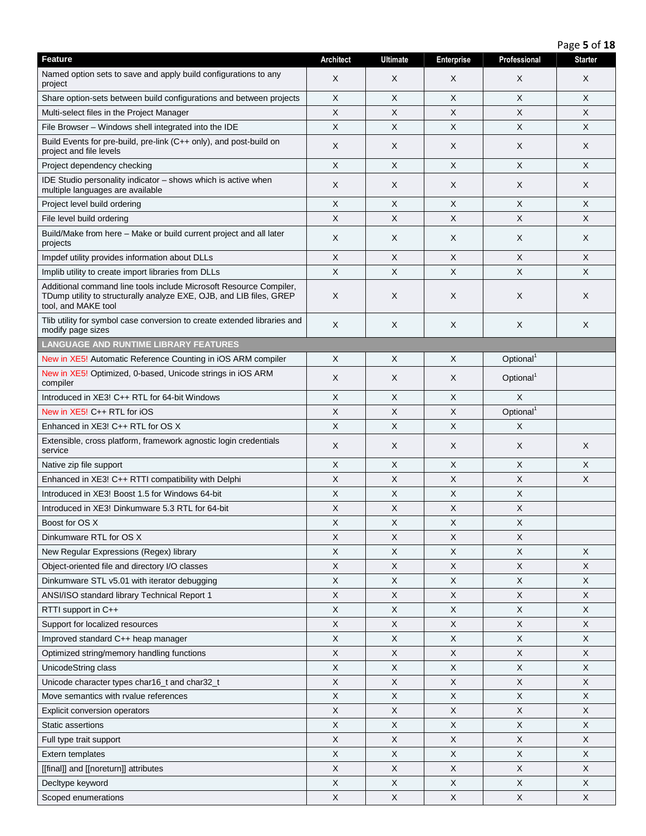| Page 5 of 18 |  |  |  |
|--------------|--|--|--|
|--------------|--|--|--|

| <b>Feature</b>                                                                                                                                                   | <b>Architect</b>          | <b>Ultimate</b> | <b>Enterprise</b> | Professional          | <b>Starter</b> |
|------------------------------------------------------------------------------------------------------------------------------------------------------------------|---------------------------|-----------------|-------------------|-----------------------|----------------|
| Named option sets to save and apply build configurations to any<br>project                                                                                       | X                         | X               | X                 | X                     | X              |
| Share option-sets between build configurations and between projects                                                                                              | X                         | X               | X                 | X                     | X              |
| Multi-select files in the Project Manager                                                                                                                        | X                         | X               | X                 | Χ                     | X              |
| File Browser - Windows shell integrated into the IDE                                                                                                             | X                         | X               | X                 | X                     | $\times$       |
| Build Events for pre-build, pre-link (C++ only), and post-build on<br>project and file levels                                                                    | X                         | X               | X                 | X                     | X              |
| Project dependency checking                                                                                                                                      | X                         | X               | X                 | X                     | X              |
| IDE Studio personality indicator - shows which is active when<br>multiple languages are available                                                                | X                         | X               | X                 | X                     | X              |
| Project level build ordering                                                                                                                                     | X                         | $\times$        | X                 | X                     | $\times$       |
| File level build ordering                                                                                                                                        | X                         | X               | X                 | X                     | X              |
| Build/Make from here - Make or build current project and all later<br>projects                                                                                   | X                         | X               | X                 | Χ                     | X              |
| Impdef utility provides information about DLLs                                                                                                                   | X                         | X               | X                 | X                     | X              |
| Implib utility to create import libraries from DLLs                                                                                                              | X                         | X               | X                 | X                     | X              |
| Additional command line tools include Microsoft Resource Compiler,<br>TDump utility to structurally analyze EXE, OJB, and LIB files, GREP<br>tool, and MAKE tool | X                         | Χ               | X                 | X                     | X              |
| Tlib utility for symbol case conversion to create extended libraries and<br>modify page sizes                                                                    | X                         | X               | $\times$          | X                     | X              |
| <b>LANGUAGE AND RUNTIME LIBRARY FEATURES</b>                                                                                                                     |                           |                 |                   |                       |                |
| New in XE5! Automatic Reference Counting in iOS ARM compiler                                                                                                     | X                         | X               | X                 | Optional <sup>1</sup> |                |
| New in XE5! Optimized, 0-based, Unicode strings in iOS ARM<br>compiler                                                                                           | X                         | Χ               | X                 | Optional <sup>1</sup> |                |
| Introduced in XE3! C++ RTL for 64-bit Windows                                                                                                                    | $\boldsymbol{\mathsf{X}}$ | X               | X                 | X                     |                |
| New in XE5! C++ RTL for iOS                                                                                                                                      | X                         | X               | X                 | Optional <sup>1</sup> |                |
| Enhanced in $XE3! C++ RTL$ for OS X                                                                                                                              | $\times$                  | X               | X                 | X                     |                |
| Extensible, cross platform, framework agnostic login credentials<br>service                                                                                      | X                         | X               | X                 | X                     | X              |
| Native zip file support                                                                                                                                          | X                         | X               | X                 | X                     | X              |
| Enhanced in XE3! C++ RTTI compatibility with Delphi                                                                                                              | X                         | X               | X                 | X                     | X              |
| Introduced in XE3! Boost 1.5 for Windows 64-bit                                                                                                                  | X                         | X               | $\times$          | X                     |                |
| Introduced in XE3! Dinkumware 5.3 RTL for 64-bit                                                                                                                 | X                         | X               | X                 | X                     |                |
| Boost for OS X                                                                                                                                                   | X                         | X               | Χ                 | Х                     |                |
| Dinkumware RTL for OS X                                                                                                                                          | X                         | X               | X                 | Χ                     |                |
| New Regular Expressions (Regex) library                                                                                                                          | X                         | $\times$        | X                 | X                     | $\times$       |
| Object-oriented file and directory I/O classes                                                                                                                   | X                         | X               | X                 | X                     | X              |
| Dinkumware STL v5.01 with iterator debugging                                                                                                                     | X                         | X               | X                 | X                     | X              |
| ANSI/ISO standard library Technical Report 1                                                                                                                     | X                         | X               | $\mathsf X$       | X                     | X              |
| RTTI support in C++                                                                                                                                              | X                         | X               | X                 | X                     | X              |
| Support for localized resources                                                                                                                                  | X                         | X               | X                 | X                     | X              |
| Improved standard C++ heap manager                                                                                                                               | X                         | X               | Χ                 | Χ                     | X              |
| Optimized string/memory handling functions                                                                                                                       | X                         | X               | X                 | X                     | X              |
| UnicodeString class                                                                                                                                              | X                         | X               | X                 | X                     | X              |
| Unicode character types char16_t and char32_t                                                                                                                    | X                         | X               | X                 | X                     | X              |
| Move semantics with rvalue references                                                                                                                            | X                         | X               | X                 | X                     | $\mathsf X$    |
| Explicit conversion operators                                                                                                                                    | $\boldsymbol{\mathsf{X}}$ | X               | $\mathsf X$       | X                     | $\mathsf X$    |
| Static assertions                                                                                                                                                | X                         | X               | X                 | X                     | X              |
| Full type trait support                                                                                                                                          | X                         | X               | X                 | Χ                     | X              |
| Extern templates                                                                                                                                                 | X                         | X               | X                 | X                     | X              |
| [[final]] and [[noreturn]] attributes                                                                                                                            | X                         | X               | X                 | $\mathsf X$           | X              |
| Decltype keyword                                                                                                                                                 | X                         | X               | X                 | X                     | X              |
| Scoped enumerations                                                                                                                                              | X                         | $\mathsf X$     | $\mathsf X$       | X                     | X              |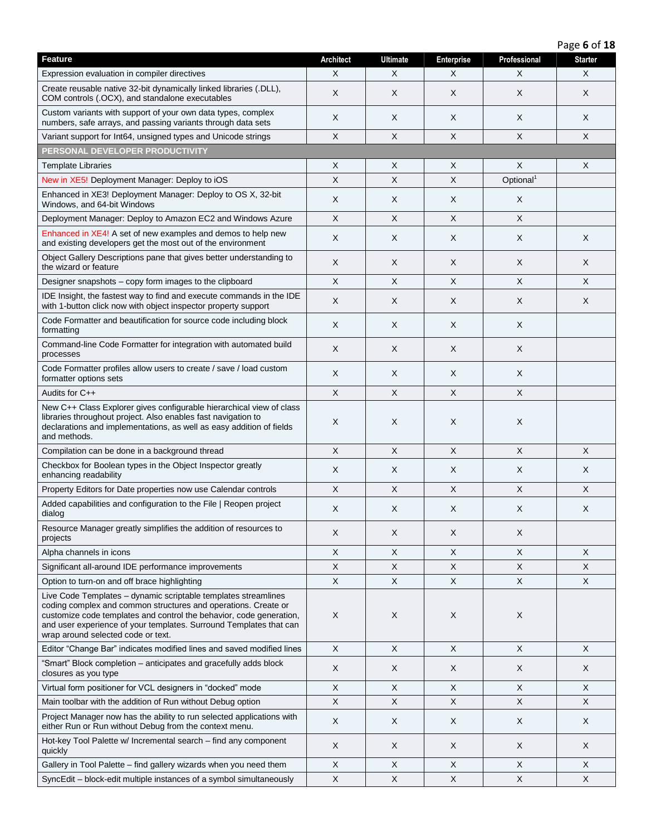Page **6** of **18**

| Feature                                                                                                                                                                                                                                                                                                             | <b>Architect</b>          | <b>Ultimate</b> | Enterprise                | Professional          | <b>Starter</b> |
|---------------------------------------------------------------------------------------------------------------------------------------------------------------------------------------------------------------------------------------------------------------------------------------------------------------------|---------------------------|-----------------|---------------------------|-----------------------|----------------|
| Expression evaluation in compiler directives                                                                                                                                                                                                                                                                        | X                         | X               | X                         | Χ                     | X              |
| Create reusable native 32-bit dynamically linked libraries (.DLL),<br>COM controls (.OCX), and standalone executables                                                                                                                                                                                               | X                         | X               | X                         | X                     | X              |
| Custom variants with support of your own data types, complex<br>numbers, safe arrays, and passing variants through data sets                                                                                                                                                                                        | X                         | X               | X                         | X                     | X              |
| Variant support for Int64, unsigned types and Unicode strings                                                                                                                                                                                                                                                       | X                         | X.              | X                         | $\times$              | $\times$       |
| PERSONAL DEVELOPER PRODUCTIVITY                                                                                                                                                                                                                                                                                     |                           |                 |                           |                       |                |
| Template Libraries                                                                                                                                                                                                                                                                                                  | X                         | X               | X                         | X                     | X              |
| New in XE5! Deployment Manager: Deploy to iOS                                                                                                                                                                                                                                                                       | $\boldsymbol{\mathsf{X}}$ | X               | $\boldsymbol{\mathsf{X}}$ | Optional <sup>1</sup> |                |
| Enhanced in XE3! Deployment Manager: Deploy to OS X, 32-bit<br>Windows, and 64-bit Windows                                                                                                                                                                                                                          | X                         | X               | X                         | X                     |                |
| Deployment Manager: Deploy to Amazon EC2 and Windows Azure                                                                                                                                                                                                                                                          | $\times$                  | X.              | $\times$                  | $\times$              |                |
| Enhanced in XE4! A set of new examples and demos to help new<br>and existing developers get the most out of the environment                                                                                                                                                                                         | X                         | X               | X                         | X                     | X              |
| Object Gallery Descriptions pane that gives better understanding to<br>the wizard or feature                                                                                                                                                                                                                        | X                         | X               | X                         | X                     | X              |
| Designer snapshots – copy form images to the clipboard                                                                                                                                                                                                                                                              | X                         | X               | X                         | X                     | X              |
| IDE Insight, the fastest way to find and execute commands in the IDE<br>with 1-button click now with object inspector property support                                                                                                                                                                              | X                         | X               | X                         | X                     | X              |
| Code Formatter and beautification for source code including block<br>formatting                                                                                                                                                                                                                                     | X                         | X               | X                         | X                     |                |
| Command-line Code Formatter for integration with automated build<br>processes                                                                                                                                                                                                                                       | X                         | X               | X                         | X                     |                |
| Code Formatter profiles allow users to create / save / load custom<br>formatter options sets                                                                                                                                                                                                                        | X                         | X               | X                         | X                     |                |
| Audits for C++                                                                                                                                                                                                                                                                                                      | $\times$                  | X               | $\boldsymbol{\mathsf{X}}$ | $\pmb{\times}$        |                |
| New C++ Class Explorer gives configurable hierarchical view of class<br>libraries throughout project. Also enables fast navigation to<br>declarations and implementations, as well as easy addition of fields<br>and methods.                                                                                       | X                         | Χ               | X                         | X                     |                |
| Compilation can be done in a background thread                                                                                                                                                                                                                                                                      | $\boldsymbol{\mathsf{X}}$ | X               | $\boldsymbol{\mathsf{X}}$ | $\times$              | $\times$       |
| Checkbox for Boolean types in the Object Inspector greatly<br>enhancing readability                                                                                                                                                                                                                                 | X                         | X               | X                         | X                     | X              |
| Property Editors for Date properties now use Calendar controls                                                                                                                                                                                                                                                      | $\times$                  | X               | $\times$                  | X                     | X              |
| Added capabilities and configuration to the File   Reopen project<br>dialog                                                                                                                                                                                                                                         | X                         | X               | X                         | X                     | X              |
| Resource Manager greatly simplifies the addition of resources to<br>projects                                                                                                                                                                                                                                        | X                         | X               | X                         | X                     |                |
| Alpha channels in icons                                                                                                                                                                                                                                                                                             | X                         | X               | X                         | X                     | X              |
| Significant all-around IDE performance improvements                                                                                                                                                                                                                                                                 | X                         | X               | X                         | X                     | X              |
| Option to turn-on and off brace highlighting                                                                                                                                                                                                                                                                        | $\boldsymbol{\mathsf{X}}$ | X               | X                         | $\times$              | X              |
| Live Code Templates - dynamic scriptable templates streamlines<br>coding complex and common structures and operations. Create or<br>customize code templates and control the behavior, code generation,<br>and user experience of your templates. Surround Templates that can<br>wrap around selected code or text. | X                         | Χ               | X                         | X                     |                |
| Editor "Change Bar" indicates modified lines and saved modified lines                                                                                                                                                                                                                                               | X                         | X               | X                         | X                     | X              |
| "Smart" Block completion - anticipates and gracefully adds block<br>closures as you type                                                                                                                                                                                                                            | X                         | X               | X                         | X                     | X              |
| Virtual form positioner for VCL designers in "docked" mode                                                                                                                                                                                                                                                          | X                         | X               | X                         | X                     | X              |
| Main toolbar with the addition of Run without Debug option                                                                                                                                                                                                                                                          | $\mathsf X$               | X               | X                         | X                     | X              |
| Project Manager now has the ability to run selected applications with<br>either Run or Run without Debug from the context menu.                                                                                                                                                                                     | $\boldsymbol{\mathsf{X}}$ | X               | X                         | X                     | X              |
| Hot-key Tool Palette w/ Incremental search – find any component<br>quickly                                                                                                                                                                                                                                          | X                         | X               | X                         | X                     | X              |
| Gallery in Tool Palette - find gallery wizards when you need them                                                                                                                                                                                                                                                   | X                         | X               | X                         | X                     | X              |
| SyncEdit - block-edit multiple instances of a symbol simultaneously                                                                                                                                                                                                                                                 | $\mathsf X$               | X               | $\sf X$                   | $\mathsf X$           | $\mathsf X$    |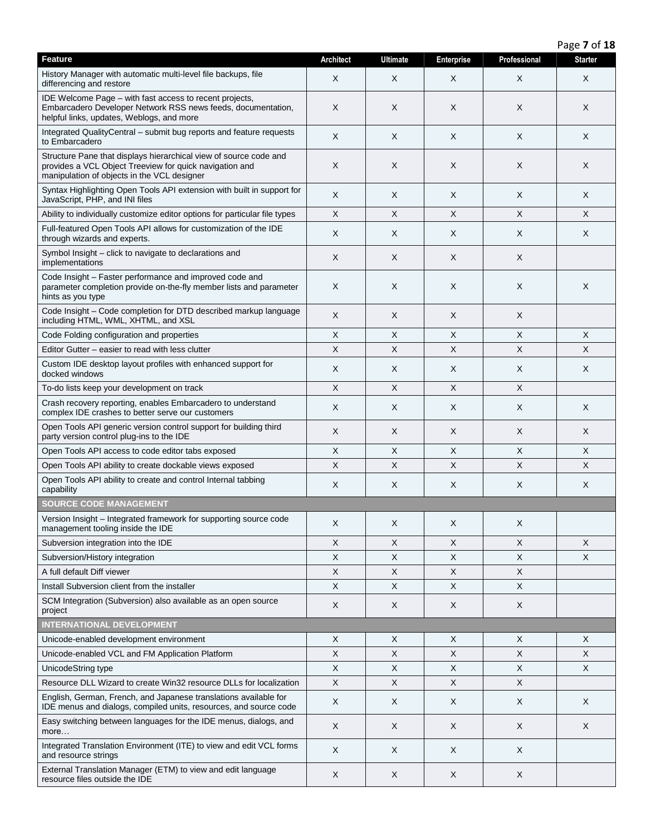|                                                                                                                                                                             |                  |                 |                           |              | Page 7 of 18   |
|-----------------------------------------------------------------------------------------------------------------------------------------------------------------------------|------------------|-----------------|---------------------------|--------------|----------------|
| <b>Feature</b>                                                                                                                                                              | <b>Architect</b> | <b>Ultimate</b> | <b>Enterprise</b>         | Professional | <b>Starter</b> |
| History Manager with automatic multi-level file backups, file<br>differencing and restore                                                                                   | X                | X               | X                         | X            | X              |
| IDE Welcome Page - with fast access to recent projects,<br>Embarcadero Developer Network RSS news feeds, documentation,<br>helpful links, updates, Weblogs, and more        | X                | X               | X                         | X            | X              |
| Integrated QualityCentral - submit bug reports and feature requests<br>to Embarcadero                                                                                       | X                | X               | X                         | X            | X              |
| Structure Pane that displays hierarchical view of source code and<br>provides a VCL Object Treeview for quick navigation and<br>manipulation of objects in the VCL designer | X                | Χ               | X                         | X            | X              |
| Syntax Highlighting Open Tools API extension with built in support for<br>JavaScript, PHP, and INI files                                                                    | X                | X               | X                         | X            | X              |
| Ability to individually customize editor options for particular file types                                                                                                  | X                | X               | X                         | X            | X              |
| Full-featured Open Tools API allows for customization of the IDE<br>through wizards and experts.                                                                            | X                | Χ               | X                         | Χ            | X              |
| Symbol Insight - click to navigate to declarations and<br>implementations                                                                                                   | X                | Χ               | X                         | X            |                |
| Code Insight - Faster performance and improved code and<br>parameter completion provide on-the-fly member lists and parameter<br>hints as you type                          | X                | X               | X                         | X            | X              |
| Code Insight – Code completion for DTD described markup language<br>including HTML, WML, XHTML, and XSL                                                                     | X                | X               | X                         | Χ            |                |
| Code Folding configuration and properties                                                                                                                                   | X                | X               | $\boldsymbol{\mathsf{X}}$ | X            | X              |
| Editor Gutter - easier to read with less clutter                                                                                                                            | $\times$         | X               | $\times$                  | X            | X              |
| Custom IDE desktop layout profiles with enhanced support for<br>docked windows                                                                                              | X                | X               | X                         | X            | X              |
| To-do lists keep your development on track                                                                                                                                  | $\times$         | X               | $\times$                  | X            |                |
| Crash recovery reporting, enables Embarcadero to understand<br>complex IDE crashes to better serve our customers                                                            | X                | X               | X                         | X            | X              |
| Open Tools API generic version control support for building third<br>party version control plug-ins to the IDE                                                              | X                | X               | X                         | X            | X              |
| Open Tools API access to code editor tabs exposed                                                                                                                           | X                | X               | X                         | X            | X              |
| Open Tools API ability to create dockable views exposed                                                                                                                     | X                | X               | X                         | X            | X              |
| Open Tools API ability to create and control Internal tabbing<br>capability                                                                                                 | X                | X               | X                         | X            | X              |
| <b>SOURCE CODE MANAGEMENT</b>                                                                                                                                               |                  |                 |                           |              |                |
| Version Insight - Integrated framework for supporting source code<br>management tooling inside the IDE                                                                      | X                | Χ               | X                         | X            |                |
| Subversion integration into the IDE                                                                                                                                         | X                | X               | X                         | X            | X              |
| Subversion/History integration                                                                                                                                              | X                | X               | X                         | X            | X              |
| A full default Diff viewer                                                                                                                                                  | $\mathsf X$      | X               | X                         | X            |                |
| Install Subversion client from the installer                                                                                                                                | X                | X               | $\boldsymbol{\mathsf{X}}$ | X            |                |
| SCM Integration (Subversion) also available as an open source<br>project                                                                                                    | X                | X               | X                         | X            |                |
| <b>INTERNATIONAL DEVELOPMENT</b>                                                                                                                                            |                  |                 |                           |              |                |
| Unicode-enabled development environment                                                                                                                                     | X                | Χ               | X                         | X            | X              |
| Unicode-enabled VCL and FM Application Platform                                                                                                                             | X                | X               | X                         | X            | X              |
| UnicodeString type                                                                                                                                                          | X                | X               | X                         | X            | X              |
| Resource DLL Wizard to create Win32 resource DLLs for localization                                                                                                          | $\mathsf X$      | X               | $\boldsymbol{\mathsf{X}}$ | X            |                |
| English, German, French, and Japanese translations available for<br>IDE menus and dialogs, compiled units, resources, and source code                                       | X                | X               | X                         | X            | X              |
| Easy switching between languages for the IDE menus, dialogs, and<br>more                                                                                                    | X                | X               | X                         | X            | X              |
| Integrated Translation Environment (ITE) to view and edit VCL forms<br>and resource strings                                                                                 | X                | X               | X                         | X            |                |
| External Translation Manager (ETM) to view and edit language<br>resource files outside the IDE                                                                              | X                | X               | X                         | X            |                |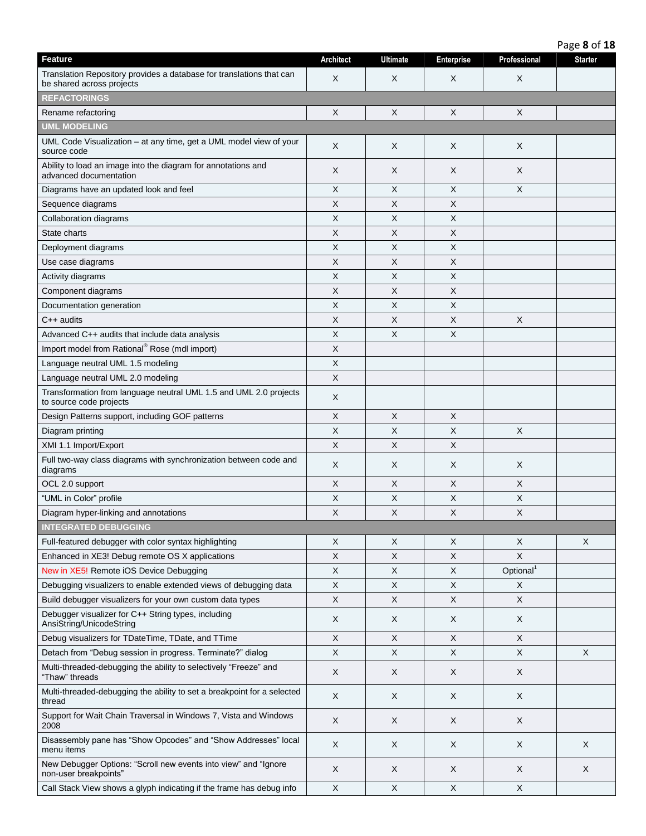| Feature                                                                                           | Architect                 | <b>Ultimate</b> | Enterprise | Professional          | <b>Starter</b> |
|---------------------------------------------------------------------------------------------------|---------------------------|-----------------|------------|-----------------------|----------------|
| Translation Repository provides a database for translations that can<br>be shared across projects | X                         | X               | X          | X                     |                |
| <b>REFACTORINGS</b>                                                                               |                           |                 |            |                       |                |
| Rename refactoring                                                                                | X                         | X               | X          | X                     |                |
| <b>UML MODELING</b>                                                                               |                           |                 |            |                       |                |
| UML Code Visualization - at any time, get a UML model view of your<br>source code                 | X                         | X               | X          | X                     |                |
| Ability to load an image into the diagram for annotations and<br>advanced documentation           | X                         | X               | X          | X                     |                |
| Diagrams have an updated look and feel                                                            | X                         | X               | $\times$   | $\times$              |                |
| Sequence diagrams                                                                                 | X                         | Χ               | X          |                       |                |
| Collaboration diagrams                                                                            | X                         | X               | X          |                       |                |
| State charts                                                                                      | X                         | X               | $\times$   |                       |                |
| Deployment diagrams                                                                               | X                         | X               | X          |                       |                |
| Use case diagrams                                                                                 | X                         | Χ               | X          |                       |                |
| Activity diagrams                                                                                 | X                         | X               | X          |                       |                |
| Component diagrams                                                                                | X                         | X               | $\times$   |                       |                |
| Documentation generation                                                                          | X                         | X               | X          |                       |                |
| $C++$ audits                                                                                      | X                         | X               | X          | X                     |                |
| Advanced C++ audits that include data analysis                                                    | $\times$                  | X               | $\times$   |                       |                |
| Import model from Rational <sup>®</sup> Rose (mdl import)                                         | X                         |                 |            |                       |                |
| Language neutral UML 1.5 modeling                                                                 | X                         |                 |            |                       |                |
| Language neutral UML 2.0 modeling                                                                 | X                         |                 |            |                       |                |
| Transformation from language neutral UML 1.5 and UML 2.0 projects<br>to source code projects      | X                         |                 |            |                       |                |
| Design Patterns support, including GOF patterns                                                   | X                         | X               | X          |                       |                |
| Diagram printing                                                                                  | X                         | X               | X          | X                     |                |
| XMI 1.1 Import/Export                                                                             | $\boldsymbol{\mathsf{X}}$ | X               | X          |                       |                |
| Full two-way class diagrams with synchronization between code and<br>diagrams                     | X                         | X               | X          | X                     |                |
| OCL 2.0 support                                                                                   | X                         | X               | X          | X                     |                |
| "UML in Color" profile                                                                            | X                         | X               | X          | X                     |                |
| Diagram hyper-linking and annotations                                                             | X                         | X               | $\times$   | X                     |                |
| <b>INTEGRATED DEBUGGING</b>                                                                       |                           |                 |            |                       |                |
| Full-featured debugger with color syntax highlighting                                             | X                         | X               | X          | X                     | X              |
| Enhanced in XE3! Debug remote OS X applications                                                   | $\times$                  | X               | $\times$   | $\pmb{\times}$        |                |
| New in XE5! Remote iOS Device Debugging                                                           | X                         | X               | X          | Optional <sup>1</sup> |                |
| Debugging visualizers to enable extended views of debugging data                                  | X                         | X               | X          | X                     |                |
| Build debugger visualizers for your own custom data types                                         | X                         | X               | $\times$   | $\times$              |                |
| Debugger visualizer for C++ String types, including<br>AnsiString/UnicodeString                   | X                         | X               | X          | X                     |                |
| Debug visualizers for TDateTime, TDate, and TTime                                                 | $\sf X$                   | X.              | $\times$   | $\times$              |                |
| Detach from "Debug session in progress. Terminate?" dialog                                        | $\mathsf X$               | X               | X          | $\mathsf X$           | X              |
| Multi-threaded-debugging the ability to selectively "Freeze" and                                  |                           |                 |            |                       |                |
| "Thaw" threads                                                                                    | X                         | X               | X          | X                     |                |
| Multi-threaded-debugging the ability to set a breakpoint for a selected<br>thread                 | X                         | X               | X          | X                     |                |
| Support for Wait Chain Traversal in Windows 7, Vista and Windows<br>2008                          | X                         | X               | X          | X                     |                |
| Disassembly pane has "Show Opcodes" and "Show Addresses" local<br>menu items                      | X                         | X               | X          | X                     | X              |
| New Debugger Options: "Scroll new events into view" and "Ignore<br>non-user breakpoints"          | X                         | X               | X          | X                     | X              |
| Call Stack View shows a glyph indicating if the frame has debug info                              | X                         | X               | X          | X                     |                |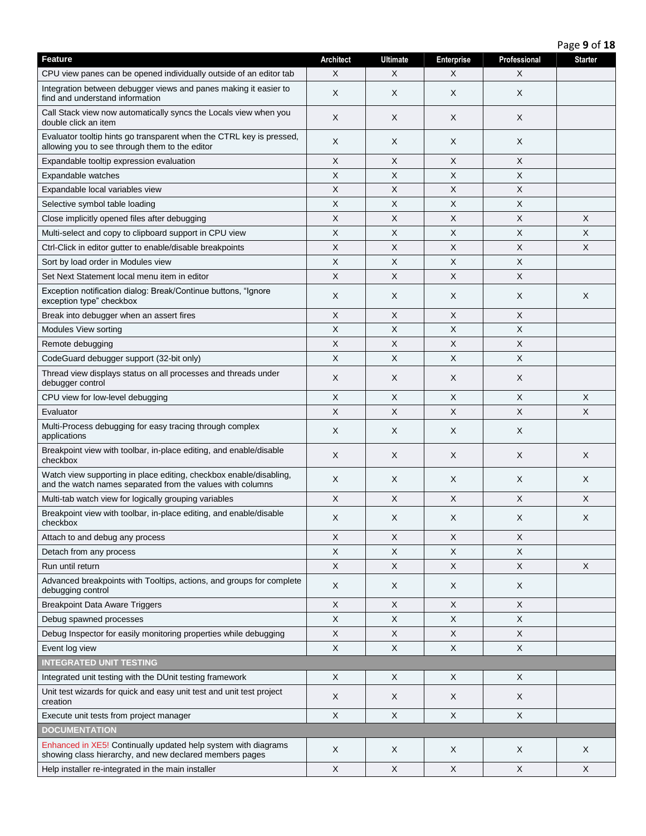| Feature                                                                                                                          | <b>Architect</b> | <b>Ultimate</b> | <b>Enterprise</b>         | Professional | <b>Starter</b> |
|----------------------------------------------------------------------------------------------------------------------------------|------------------|-----------------|---------------------------|--------------|----------------|
| CPU view panes can be opened individually outside of an editor tab                                                               | X                | X               | X                         | X            |                |
| Integration between debugger views and panes making it easier to<br>find and understand information                              | X                | X               | X                         | X            |                |
| Call Stack view now automatically syncs the Locals view when you<br>double click an item                                         | X                | X               | X                         | X            |                |
| Evaluator tooltip hints go transparent when the CTRL key is pressed,<br>allowing you to see through them to the editor           | X                | Χ               | X                         | X            |                |
| Expandable tooltip expression evaluation                                                                                         | X                | X               | X                         | X            |                |
| Expandable watches                                                                                                               | Χ                | X               | X                         | Χ            |                |
| Expandable local variables view                                                                                                  | X                | X               | X                         | X            |                |
| Selective symbol table loading                                                                                                   | X                | X               | X                         | X            |                |
| Close implicitly opened files after debugging                                                                                    | X                | X               | $\boldsymbol{\mathsf{X}}$ | X            | $\times$       |
| Multi-select and copy to clipboard support in CPU view                                                                           | X                | X               | X                         | Χ            | $\times$       |
| Ctrl-Click in editor gutter to enable/disable breakpoints                                                                        | X                | X               | X                         | X            | X              |
| Sort by load order in Modules view                                                                                               | X                | X               | X                         | Χ            |                |
| Set Next Statement local menu item in editor                                                                                     | X                | X               | $\times$                  | X            |                |
| Exception notification dialog: Break/Continue buttons, "Ignore<br>exception type" checkbox                                       | X                | X               | X                         | X            | X              |
| Break into debugger when an assert fires                                                                                         | X                | X               | $\times$                  | X            |                |
| Modules View sorting                                                                                                             | X                | X               | $\times$                  | X            |                |
| Remote debugging                                                                                                                 | X                | X               | X                         | X            |                |
| CodeGuard debugger support (32-bit only)                                                                                         | X                | X               | X                         | X            |                |
| Thread view displays status on all processes and threads under<br>debugger control                                               | X                | X               | X                         | X            |                |
| CPU view for low-level debugging                                                                                                 | X                | X               | X                         | X            | X              |
| Evaluator                                                                                                                        | X                | X               | X                         | X            | X              |
| Multi-Process debugging for easy tracing through complex<br>applications                                                         | X                | X               | X                         | X            |                |
| Breakpoint view with toolbar, in-place editing, and enable/disable<br>checkbox                                                   | X                | X               | X                         | X            | X              |
| Watch view supporting in place editing, checkbox enable/disabling,<br>and the watch names separated from the values with columns | X                | X               | X                         | X            | X              |
| Multi-tab watch view for logically grouping variables                                                                            | X                | X               | X                         | X            | X              |
| Breakpoint view with toolbar, in-place editing, and enable/disable<br>checkbox                                                   | X                | X               | X                         | X            | X              |
| Attach to and debug any process                                                                                                  | X                | X               | X                         | X            |                |
| Detach from any process                                                                                                          | X                | X               | X                         | X            |                |
| Run until return                                                                                                                 | X                | X               | X                         | X            | $\mathsf{X}$   |
| Advanced breakpoints with Tooltips, actions, and groups for complete<br>debugging control                                        | X                | X               | X                         | X            |                |
| <b>Breakpoint Data Aware Triggers</b>                                                                                            | X                | X               | X                         | X            |                |
| Debug spawned processes                                                                                                          | X                | X               | X                         | X            |                |
| Debug Inspector for easily monitoring properties while debugging                                                                 | X                | X               | X                         | X            |                |
| Event log view                                                                                                                   | X                | X               | X                         | X            |                |
| <b>INTEGRATED UNIT TESTING</b>                                                                                                   |                  |                 |                           |              |                |
| Integrated unit testing with the DUnit testing framework                                                                         | X                | X               | X                         | X            |                |
| Unit test wizards for quick and easy unit test and unit test project<br>creation                                                 | X                | X               | X                         | X            |                |
| Execute unit tests from project manager                                                                                          | X                | X               | X                         | X            |                |
| <b>DOCUMENTATION</b>                                                                                                             |                  |                 |                           |              |                |
| Enhanced in XE5! Continually updated help system with diagrams<br>showing class hierarchy, and new declared members pages        | X                | X               | X                         | X            | X              |
| Help installer re-integrated in the main installer                                                                               | X                | X               | X                         | X            | X              |

Page **9** of **18**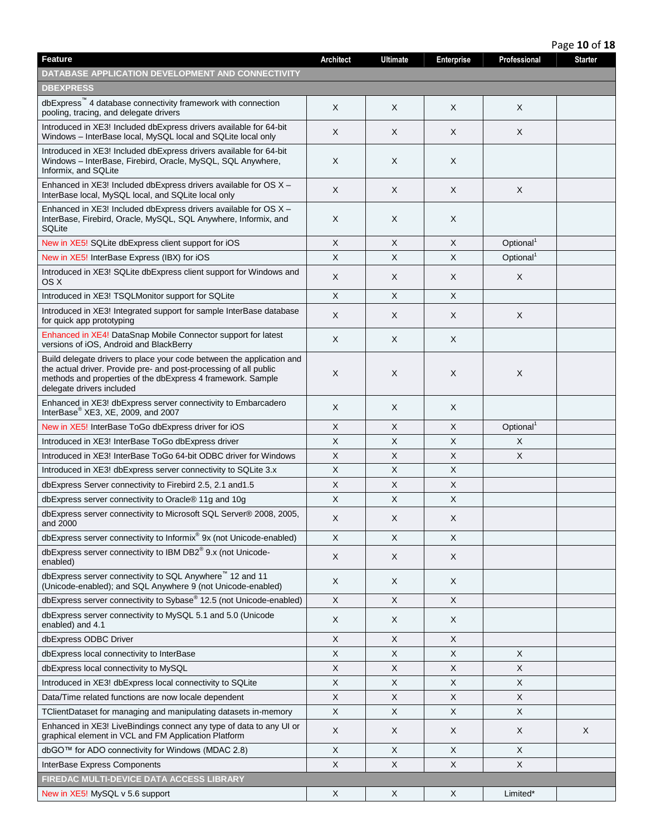|                                                                                                                                                                                                                                        |                  |                 |                           |                       | Page 10 of 18  |
|----------------------------------------------------------------------------------------------------------------------------------------------------------------------------------------------------------------------------------------|------------------|-----------------|---------------------------|-----------------------|----------------|
| <b>Feature</b>                                                                                                                                                                                                                         | <b>Architect</b> | <b>Ultimate</b> | <b>Enterprise</b>         | Professional          | <b>Starter</b> |
| DATABASE APPLICATION DEVELOPMENT AND CONNECTIVITY                                                                                                                                                                                      |                  |                 |                           |                       |                |
| <b>DBEXPRESS</b>                                                                                                                                                                                                                       |                  |                 |                           |                       |                |
| dbExpress™ 4 database connectivity framework with connection<br>pooling, tracing, and delegate drivers                                                                                                                                 | X                | X               | X                         | X                     |                |
| Introduced in XE3! Included dbExpress drivers available for 64-bit<br>Windows - InterBase local, MySQL local and SQLite local only                                                                                                     | X                | X               | X                         | X                     |                |
| Introduced in XE3! Included dbExpress drivers available for 64-bit<br>Windows - InterBase, Firebird, Oracle, MySQL, SQL Anywhere,<br>Informix, and SQLite                                                                              | X                | Χ               | X                         |                       |                |
| Enhanced in $XE3!$ Included dbExpress drivers available for OS $X -$<br>InterBase local, MySQL local, and SQLite local only                                                                                                            | X                | X               | $\times$                  | X                     |                |
| Enhanced in XE3! Included dbExpress drivers available for OS X -<br>InterBase, Firebird, Oracle, MySQL, SQL Anywhere, Informix, and<br>SQLite                                                                                          | X                | Χ               | X                         |                       |                |
| New in XE5! SQLite dbExpress client support for iOS                                                                                                                                                                                    | X                | X               | X                         | Optional <sup>1</sup> |                |
| New in XE5! InterBase Express (IBX) for iOS                                                                                                                                                                                            | X                | $\times$        | $\times$                  | Optional <sup>1</sup> |                |
| Introduced in XE3! SQLite dbExpress client support for Windows and<br>OS X                                                                                                                                                             | X                | Χ               | X                         | X                     |                |
| Introduced in XE3! TSQLMonitor support for SQLite                                                                                                                                                                                      | X                | $\times$        | $\times$                  |                       |                |
| Introduced in XE3! Integrated support for sample InterBase database<br>for quick app prototyping                                                                                                                                       | X                | X               | X                         | X                     |                |
| Enhanced in XE4! DataSnap Mobile Connector support for latest<br>versions of iOS, Android and BlackBerry                                                                                                                               | X                | X               | $\sf X$                   |                       |                |
| Build delegate drivers to place your code between the application and<br>the actual driver. Provide pre- and post-processing of all public<br>methods and properties of the dbExpress 4 framework. Sample<br>delegate drivers included | X                | X               | X                         | X                     |                |
| Enhanced in XE3! dbExpress server connectivity to Embarcadero<br>InterBase <sup>®</sup> XE3, XE, 2009, and 2007                                                                                                                        | X                | X               | X                         |                       |                |
| New in XE5! InterBase ToGo dbExpress driver for iOS                                                                                                                                                                                    | X                | X               | X                         | Optional <sup>1</sup> |                |
| Introduced in XE3! InterBase ToGo dbExpress driver                                                                                                                                                                                     | X                | X               | $\boldsymbol{\mathsf{X}}$ | X                     |                |
| Introduced in XE3! InterBase ToGo 64-bit ODBC driver for Windows                                                                                                                                                                       | X                | X               | $\times$                  | X                     |                |
| Introduced in XE3! dbExpress server connectivity to SQLite 3.x                                                                                                                                                                         | X                | X               | $\times$                  |                       |                |
| dbExpress Server connectivity to Firebird 2.5, 2.1 and 1.5                                                                                                                                                                             | X                | X               | $\boldsymbol{\mathsf{X}}$ |                       |                |
| dbExpress server connectivity to Oracle® 11g and 10g                                                                                                                                                                                   | X                | X               | X                         |                       |                |
| dbExpress server connectivity to Microsoft SQL Server® 2008, 2005,<br>and 2000                                                                                                                                                         | X                | X               | $\times$                  |                       |                |
| dbExpress server connectivity to Informix® 9x (not Unicode-enabled)                                                                                                                                                                    | $\mathsf X$      | $\mathsf{X}$    | $\times$                  |                       |                |
| dbExpress server connectivity to IBM DB2 <sup>®</sup> 9.x (not Unicode-<br>enabled)                                                                                                                                                    | X                | X               | X                         |                       |                |
| dbExpress server connectivity to SQL Anywhere <sup>™</sup> 12 and 11<br>(Unicode-enabled); and SQL Anywhere 9 (not Unicode-enabled)                                                                                                    | X                | X               | X                         |                       |                |
| dbExpress server connectivity to Sybase® 12.5 (not Unicode-enabled)                                                                                                                                                                    | X                | X               | X                         |                       |                |
| dbExpress server connectivity to MySQL 5.1 and 5.0 (Unicode<br>enabled) and 4.1                                                                                                                                                        | X                | X               | X                         |                       |                |
| dbExpress ODBC Driver                                                                                                                                                                                                                  | X                | X               | $\mathsf X$               |                       |                |
| dbExpress local connectivity to InterBase                                                                                                                                                                                              | Χ                | X               | X                         | X                     |                |
| dbExpress local connectivity to MySQL                                                                                                                                                                                                  | Χ                | X               | X                         | X                     |                |
| Introduced in XE3! dbExpress local connectivity to SQLite                                                                                                                                                                              | X                | $\mathsf{X}$    | $\times$                  | X                     |                |
| Data/Time related functions are now locale dependent                                                                                                                                                                                   | $\mathsf X$      | X               | X                         | X                     |                |
| TClientDataset for managing and manipulating datasets in-memory                                                                                                                                                                        | X                | X               | X                         | X                     |                |
| Enhanced in XE3! LiveBindings connect any type of data to any UI or<br>graphical element in VCL and FM Application Platform                                                                                                            | X                | X               | X                         | X                     | X              |
| dbGO™ for ADO connectivity for Windows (MDAC 2.8)                                                                                                                                                                                      | X                | X               | X                         | X                     |                |
| InterBase Express Components                                                                                                                                                                                                           | X                | X               | X                         | X                     |                |
| FIREDAC MULTI-DEVICE DATA ACCESS LIBRARY                                                                                                                                                                                               |                  |                 |                           |                       |                |
| New in XE5! MySQL v 5.6 support                                                                                                                                                                                                        | X                | X               | X                         | Limited*              |                |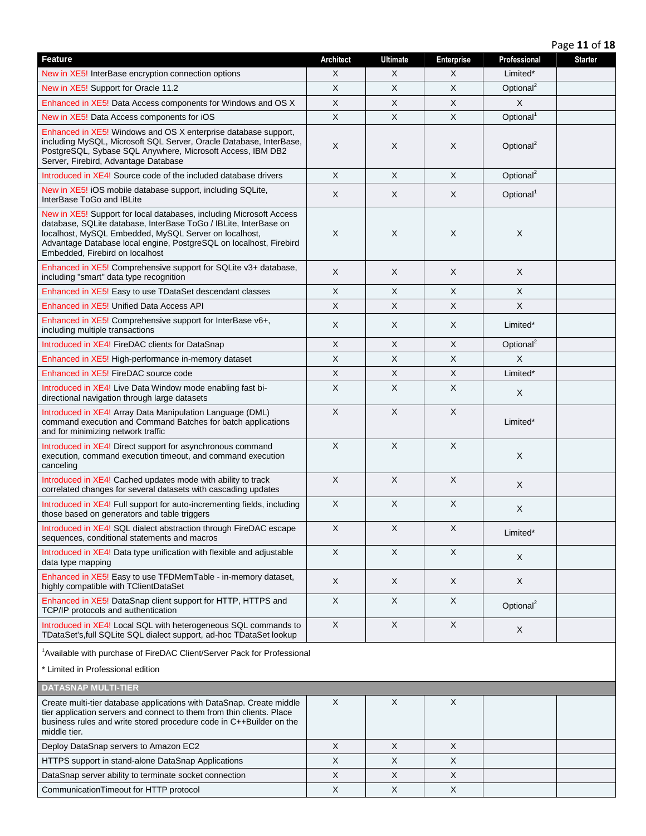Page **11** of **18**

| Feature                                                                                                                                                                                                                                                                                                   | <b>Architect</b> | <b>Ultimate</b> | Enterprise   | Professional          | <b>Starter</b> |
|-----------------------------------------------------------------------------------------------------------------------------------------------------------------------------------------------------------------------------------------------------------------------------------------------------------|------------------|-----------------|--------------|-----------------------|----------------|
| New in XE5! InterBase encryption connection options                                                                                                                                                                                                                                                       | X                | X               | X            | Limited*              |                |
| New in XE5! Support for Oracle 11.2                                                                                                                                                                                                                                                                       | X                | $\times$        | $\mathsf{X}$ | Optional <sup>2</sup> |                |
| Enhanced in XE5! Data Access components for Windows and OS X                                                                                                                                                                                                                                              | X                | X               | X            | X                     |                |
| New in XE5! Data Access components for iOS                                                                                                                                                                                                                                                                | X                | X               | X            | Optional <sup>1</sup> |                |
| Enhanced in XE5! Windows and OS X enterprise database support,<br>including MySQL, Microsoft SQL Server, Oracle Database, InterBase,<br>PostgreSQL, Sybase SQL Anywhere, Microsoft Access, IBM DB2<br>Server, Firebird, Advantage Database                                                                | X                | X               | $\times$     | Optional <sup>2</sup> |                |
| Introduced in XE4! Source code of the included database drivers                                                                                                                                                                                                                                           | X                | X               | $\sf X$      | Optional <sup>2</sup> |                |
| New in XE5! iOS mobile database support, including SQLite,<br>InterBase ToGo and IBLite                                                                                                                                                                                                                   | X                | X               | $\times$     | Optional <sup>1</sup> |                |
| New in XE5! Support for local databases, including Microsoft Access<br>database, SQLite database, InterBase ToGo / IBLite, InterBase on<br>localhost, MySQL Embedded, MySQL Server on localhost,<br>Advantage Database local engine, PostgreSQL on localhost, Firebird<br>Embedded, Firebird on localhost | X                | X               | X            | $\times$              |                |
| Enhanced in XE5! Comprehensive support for SQLite v3+ database,<br>including "smart" data type recognition                                                                                                                                                                                                | X                | X               | X            | X                     |                |
| Enhanced in XE5! Easy to use TDataSet descendant classes                                                                                                                                                                                                                                                  | X                | X               | X            | X                     |                |
| Enhanced in XE5! Unified Data Access API                                                                                                                                                                                                                                                                  | X                | $\times$        | X            | X                     |                |
| Enhanced in XE5! Comprehensive support for InterBase v6+,<br>including multiple transactions                                                                                                                                                                                                              | X                | X               | $\times$     | Limited*              |                |
| Introduced in XE4! FireDAC clients for DataSnap                                                                                                                                                                                                                                                           | $\mathsf X$      | X               | X            | Optional <sup>2</sup> |                |
| Enhanced in XE5! High-performance in-memory dataset                                                                                                                                                                                                                                                       | X                | X               | X            | $\times$              |                |
| Enhanced in XE5! FireDAC source code                                                                                                                                                                                                                                                                      | $\mathsf X$      | $\mathsf{X}$    | $\mathsf X$  | Limited*              |                |
| Introduced in XE4! Live Data Window mode enabling fast bi-<br>directional navigation through large datasets                                                                                                                                                                                               | X                | X               | X            | X                     |                |
| Introduced in XE4! Array Data Manipulation Language (DML)<br>command execution and Command Batches for batch applications<br>and for minimizing network traffic                                                                                                                                           | X                | $\times$        | $\times$     | Limited*              |                |
| Introduced in XE4! Direct support for asynchronous command<br>execution, command execution timeout, and command execution<br>canceling                                                                                                                                                                    | X                | $\mathsf X$     | $\sf X$      | X                     |                |
| Introduced in XE4! Cached updates mode with ability to track<br>correlated changes for several datasets with cascading updates                                                                                                                                                                            | X                | $\sf X$         | $\sf X$      | X                     |                |
| Introduced in XE4! Full support for auto-incrementing fields, including<br>those based on generators and table triggers                                                                                                                                                                                   | X                | X               | X            | X                     |                |
| Introduced in XE4! SQL dialect abstraction through FireDAC escape<br>sequences, conditional statements and macros                                                                                                                                                                                         | Χ                | Χ               | X            | Limited*              |                |
| Introduced in XE4! Data type unification with flexible and adjustable<br>data type mapping                                                                                                                                                                                                                | X                | X               | X            | X                     |                |
| Enhanced in XE5! Easy to use TFDMemTable - in-memory dataset,<br>highly compatible with TClientDataSet                                                                                                                                                                                                    | X                | X               | X            | X                     |                |
| Enhanced in XE5! DataSnap client support for HTTP, HTTPS and<br>TCP/IP protocols and authentication                                                                                                                                                                                                       | $\times$         | $\sf X$         | $\times$     | Optional <sup>2</sup> |                |
| Introduced in XE4! Local SQL with heterogeneous SQL commands to<br>TDataSet's, full SQLite SQL dialect support, ad-hoc TDataSet lookup                                                                                                                                                                    | X                | X               | X            | X                     |                |
| <sup>1</sup> Available with purchase of FireDAC Client/Server Pack for Professional                                                                                                                                                                                                                       |                  |                 |              |                       |                |
| * Limited in Professional edition                                                                                                                                                                                                                                                                         |                  |                 |              |                       |                |
| <b>DATASNAP MULTI-TIER</b>                                                                                                                                                                                                                                                                                |                  |                 |              |                       |                |
| Create multi-tier database applications with DataSnap. Create middle<br>tier application servers and connect to them from thin clients. Place<br>business rules and write stored procedure code in C++Builder on the<br>middle tier.                                                                      | X                | X               | X            |                       |                |
| Deploy DataSnap servers to Amazon EC2                                                                                                                                                                                                                                                                     | X                | X               | X            |                       |                |
| HTTPS support in stand-alone DataSnap Applications                                                                                                                                                                                                                                                        | $\pmb{\times}$   | $\sf X$         | $\mathsf{X}$ |                       |                |
| DataSnap server ability to terminate socket connection                                                                                                                                                                                                                                                    | X                | X               | X            |                       |                |
| CommunicationTimeout for HTTP protocol                                                                                                                                                                                                                                                                    | X                | X               | X            |                       |                |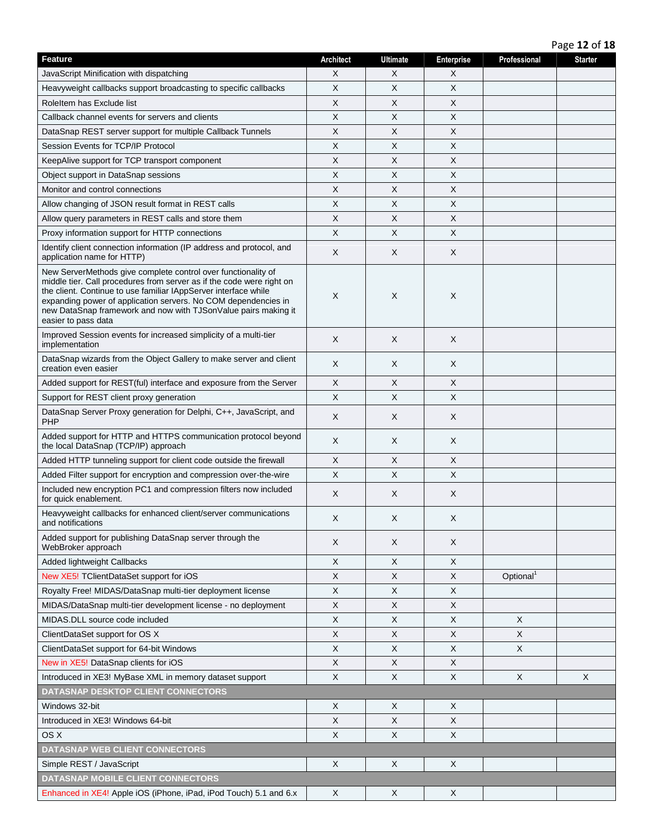Page **12** of **18**

| <b>Feature</b>                                                                                                                                                                                                                                                                                                                                                       | <b>Architect</b>          | <b>Ultimate</b> | Enterprise                | Professional          | <b>Starter</b> |
|----------------------------------------------------------------------------------------------------------------------------------------------------------------------------------------------------------------------------------------------------------------------------------------------------------------------------------------------------------------------|---------------------------|-----------------|---------------------------|-----------------------|----------------|
| JavaScript Minification with dispatching                                                                                                                                                                                                                                                                                                                             | X                         | X               | X                         |                       |                |
| Heavyweight callbacks support broadcasting to specific callbacks                                                                                                                                                                                                                                                                                                     | X                         | X               | X                         |                       |                |
| RoleItem has Exclude list                                                                                                                                                                                                                                                                                                                                            | X                         | X               | X                         |                       |                |
| Callback channel events for servers and clients                                                                                                                                                                                                                                                                                                                      | X                         | X               | X                         |                       |                |
| DataSnap REST server support for multiple Callback Tunnels                                                                                                                                                                                                                                                                                                           | X                         | Χ               | X                         |                       |                |
| Session Events for TCP/IP Protocol                                                                                                                                                                                                                                                                                                                                   | $\sf X$                   | X               | $\mathsf X$               |                       |                |
| KeepAlive support for TCP transport component                                                                                                                                                                                                                                                                                                                        | $\boldsymbol{\mathsf{X}}$ | X               | X                         |                       |                |
| Object support in DataSnap sessions                                                                                                                                                                                                                                                                                                                                  | X                         | X               | X                         |                       |                |
| Monitor and control connections                                                                                                                                                                                                                                                                                                                                      | X                         | X               | X                         |                       |                |
| Allow changing of JSON result format in REST calls                                                                                                                                                                                                                                                                                                                   | $\boldsymbol{\mathsf{X}}$ | X               | $\boldsymbol{\mathsf{X}}$ |                       |                |
| Allow query parameters in REST calls and store them                                                                                                                                                                                                                                                                                                                  | X                         | X               | X                         |                       |                |
| Proxy information support for HTTP connections                                                                                                                                                                                                                                                                                                                       | $\boldsymbol{\mathsf{X}}$ | X               | X                         |                       |                |
| Identify client connection information (IP address and protocol, and<br>application name for HTTP)                                                                                                                                                                                                                                                                   | $\times$                  | X               | X                         |                       |                |
| New ServerMethods give complete control over functionality of<br>middle tier. Call procedures from server as if the code were right on<br>the client. Continue to use familiar IAppServer interface while<br>expanding power of application servers. No COM dependencies in<br>new DataSnap framework and now with TJSonValue pairs making it<br>easier to pass data | X                         | X               | X                         |                       |                |
| Improved Session events for increased simplicity of a multi-tier<br>implementation                                                                                                                                                                                                                                                                                   | $\times$                  | X               | X                         |                       |                |
| DataSnap wizards from the Object Gallery to make server and client<br>creation even easier                                                                                                                                                                                                                                                                           | X                         | X               | X                         |                       |                |
| Added support for REST(ful) interface and exposure from the Server                                                                                                                                                                                                                                                                                                   | $\times$                  | X               | X                         |                       |                |
| Support for REST client proxy generation                                                                                                                                                                                                                                                                                                                             | $\boldsymbol{\mathsf{X}}$ | X               | X                         |                       |                |
| DataSnap Server Proxy generation for Delphi, C++, JavaScript, and<br>PHP                                                                                                                                                                                                                                                                                             | $\times$                  | X               | X                         |                       |                |
| Added support for HTTP and HTTPS communication protocol beyond<br>the local DataSnap (TCP/IP) approach                                                                                                                                                                                                                                                               | $\times$                  | X               | X                         |                       |                |
| Added HTTP tunneling support for client code outside the firewall                                                                                                                                                                                                                                                                                                    | X                         | X               | X                         |                       |                |
| Added Filter support for encryption and compression over-the-wire                                                                                                                                                                                                                                                                                                    | $\boldsymbol{\mathsf{X}}$ | X               | $\times$                  |                       |                |
| Included new encryption PC1 and compression filters now included<br>for quick enablement.                                                                                                                                                                                                                                                                            | $\times$                  | X               | X                         |                       |                |
| Heavyweight callbacks for enhanced client/server communications<br>and notifications                                                                                                                                                                                                                                                                                 | X                         | Х               | X                         |                       |                |
| Added support for publishing DataSnap server through the<br>WebBroker approach                                                                                                                                                                                                                                                                                       | $\times$                  | X               | X                         |                       |                |
| Added lightweight Callbacks                                                                                                                                                                                                                                                                                                                                          | X                         | X               | X                         |                       |                |
| New XE5! TClientDataSet support for iOS                                                                                                                                                                                                                                                                                                                              | $\boldsymbol{\mathsf{X}}$ | X               | X                         | Optional <sup>1</sup> |                |
| Royalty Free! MIDAS/DataSnap multi-tier deployment license                                                                                                                                                                                                                                                                                                           | X                         | X               | X                         |                       |                |
| MIDAS/DataSnap multi-tier development license - no deployment                                                                                                                                                                                                                                                                                                        | X                         | X               | X                         |                       |                |
| MIDAS.DLL source code included                                                                                                                                                                                                                                                                                                                                       | X                         | X               | X                         | X                     |                |
| ClientDataSet support for OS X                                                                                                                                                                                                                                                                                                                                       | X                         | X               | X                         | X                     |                |
| ClientDataSet support for 64-bit Windows                                                                                                                                                                                                                                                                                                                             | X                         | X.              | X                         | X                     |                |
| New in XE5! DataSnap clients for iOS                                                                                                                                                                                                                                                                                                                                 | X                         | X               | X                         |                       |                |
| Introduced in XE3! MyBase XML in memory dataset support                                                                                                                                                                                                                                                                                                              | $\boldsymbol{\mathsf{X}}$ | X               | $\mathsf X$               | X                     | X              |
| DATASNAP DESKTOP CLIENT CONNECTORS                                                                                                                                                                                                                                                                                                                                   |                           |                 |                           |                       |                |
| Windows 32-bit                                                                                                                                                                                                                                                                                                                                                       | X                         | X.              | X                         |                       |                |
| Introduced in XE3! Windows 64-bit                                                                                                                                                                                                                                                                                                                                    | $\boldsymbol{\mathsf{X}}$ | X               | X                         |                       |                |
| OS X                                                                                                                                                                                                                                                                                                                                                                 | $\mathsf X$               | X               | X                         |                       |                |
| <b>DATASNAP WEB CLIENT CONNECTORS</b>                                                                                                                                                                                                                                                                                                                                |                           |                 |                           |                       |                |
| Simple REST / JavaScript                                                                                                                                                                                                                                                                                                                                             | $\times$                  | X               | X                         |                       |                |
| DATASNAP MOBILE CLIENT CONNECTORS                                                                                                                                                                                                                                                                                                                                    |                           |                 |                           |                       |                |
| Enhanced in XE4! Apple iOS (iPhone, iPad, iPod Touch) 5.1 and 6.x                                                                                                                                                                                                                                                                                                    | X                         | X               | X                         |                       |                |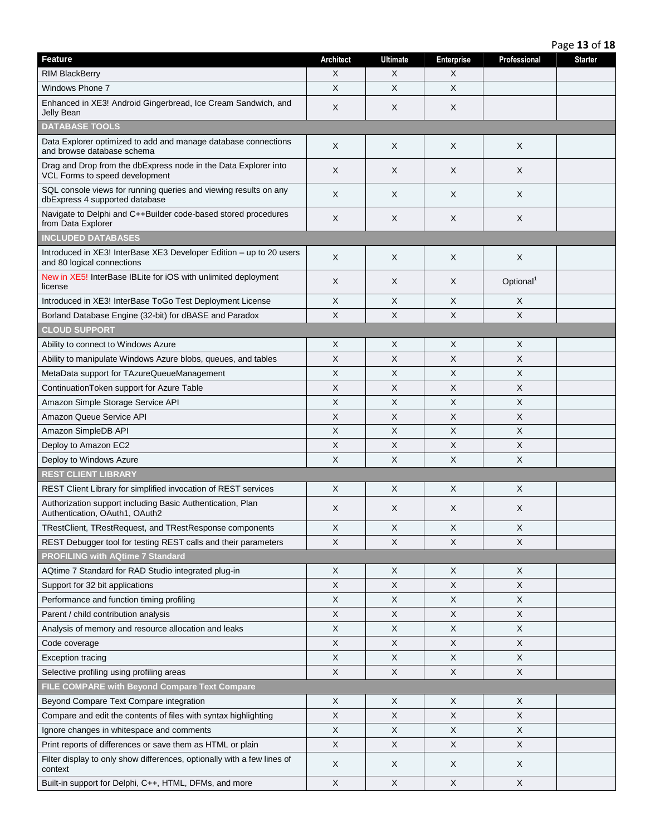Page **13** of **18**

| Feature                                                                                            | <b>Architect</b> | <b>Ultimate</b> | <b>Enterprise</b> | Professional          | <b>Starter</b> |
|----------------------------------------------------------------------------------------------------|------------------|-----------------|-------------------|-----------------------|----------------|
| <b>RIM BlackBerry</b>                                                                              | X                | X               | X                 |                       |                |
| <b>Windows Phone 7</b>                                                                             | X                | $\times$        | $\times$          |                       |                |
| Enhanced in XE3! Android Gingerbread, Ice Cream Sandwich, and<br>Jelly Bean                        | X                | X               | X                 |                       |                |
| <b>DATABASE TOOLS</b>                                                                              |                  |                 |                   |                       |                |
| Data Explorer optimized to add and manage database connections<br>and browse database schema       | X                | X               | X                 | X                     |                |
| Drag and Drop from the dbExpress node in the Data Explorer into<br>VCL Forms to speed development  | X                | X               | X                 | X                     |                |
| SQL console views for running queries and viewing results on any<br>dbExpress 4 supported database | X                | Χ               | X                 | X                     |                |
| Navigate to Delphi and C++Builder code-based stored procedures<br>from Data Explorer               | X                | X               | X                 | X                     |                |
| <b>INCLUDED DATABASES</b>                                                                          |                  |                 |                   |                       |                |
| Introduced in XE3! InterBase XE3 Developer Edition - up to 20 users<br>and 80 logical connections  | X                | X               | X                 | X                     |                |
| New in XE5! InterBase IBLite for iOS with unlimited deployment<br>license                          | X                | Χ               | X                 | Optional <sup>1</sup> |                |
| Introduced in XE3! InterBase ToGo Test Deployment License                                          | X                | X               | X                 | X                     |                |
| Borland Database Engine (32-bit) for dBASE and Paradox                                             | X                | X               | X                 | X                     |                |
| <b>CLOUD SUPPORT</b>                                                                               |                  |                 |                   |                       |                |
| Ability to connect to Windows Azure                                                                | X                | Χ               | $\times$          | Χ                     |                |
| Ability to manipulate Windows Azure blobs, queues, and tables                                      | X                | X               | X                 | X                     |                |
| MetaData support for TAzureQueueManagement                                                         | X                | $\times$        | X                 | X                     |                |
| ContinuationToken support for Azure Table                                                          | X                | Χ               | X                 | Χ                     |                |
| Amazon Simple Storage Service API                                                                  | X                | X               | X                 | X                     |                |
| Amazon Queue Service API                                                                           | X                | $\times$        | X                 | X                     |                |
| Amazon SimpleDB API                                                                                | X                | X               | X                 | X                     |                |
| Deploy to Amazon EC2                                                                               | X                | X               | X                 | X                     |                |
| Deploy to Windows Azure                                                                            | X                | $\times$        | $\times$          | X                     |                |
| <b>REST CLIENT LIBRARY</b>                                                                         |                  |                 |                   |                       |                |
| REST Client Library for simplified invocation of REST services                                     | X                | Χ               | X                 | X                     |                |
| Authorization support including Basic Authentication, Plan<br>Authentication, OAuth1, OAuth2       | X                | X               | X                 | X                     |                |
| TRestClient, TRestRequest, and TRestResponse components                                            | X                | X               | X                 | X                     |                |
| REST Debugger tool for testing REST calls and their parameters                                     | X                | X               | X                 | X                     |                |
| <b>PROFILING with AQtime 7 Standard</b>                                                            |                  |                 |                   |                       |                |
| AQtime 7 Standard for RAD Studio integrated plug-in                                                | X                | X               | X                 | X                     |                |
| Support for 32 bit applications                                                                    | X                | X               | X                 | Χ                     |                |
| Performance and function timing profiling                                                          | X                | X               | X                 | Χ                     |                |
| Parent / child contribution analysis                                                               | X                | X               | X                 | Χ                     |                |
| Analysis of memory and resource allocation and leaks                                               | X                | X               | X                 | X                     |                |
| Code coverage                                                                                      | X                | X               | X                 | X                     |                |
| <b>Exception tracing</b>                                                                           | X                | X               | X                 | X                     |                |
| Selective profiling using profiling areas                                                          | $\mathsf X$      | X               | X                 | X                     |                |
| FILE COMPARE with Beyond Compare Text Compare                                                      |                  |                 |                   |                       |                |
| Beyond Compare Text Compare integration                                                            | X                | X               | X                 | X                     |                |
| Compare and edit the contents of files with syntax highlighting                                    | X                | X               | X                 | X                     |                |
| Ignore changes in whitespace and comments                                                          | X                | X               | $\times$          | X                     |                |
| Print reports of differences or save them as HTML or plain                                         | X                | X               | X                 | X                     |                |
| Filter display to only show differences, optionally with a few lines of<br>context                 | X                | X               | $\times$          | X                     |                |
| Built-in support for Delphi, C++, HTML, DFMs, and more                                             | X                | X               | $\mathsf X$       | X                     |                |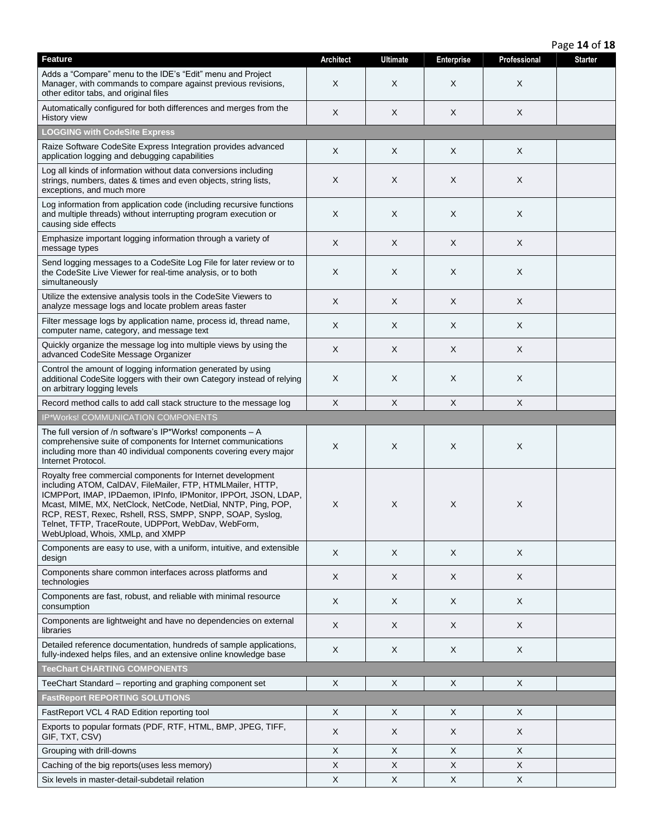Adds a "Compare" menu to the IDE's "Edit" menu and Project Manager, with commands to compare against previous revisions, other editor tabs, and original files  $\mathsf{X}$  |  $\mathsf{X}$  |  $\mathsf{X}$  |  $\mathsf{X}$ Automatically configured for both differences and merges from the  $\begin{vmatrix} x & 1 & 1 \end{vmatrix}$  x  $\begin{vmatrix} x & 1 & 1 \end{vmatrix}$  x  $\begin{vmatrix} x & 1 & 1 \end{vmatrix}$  x  $\begin{vmatrix} x & 1 & 1 \end{vmatrix}$  x  $\begin{vmatrix} x & 1 & 1 \end{vmatrix}$ **LOGGING with CodeSite Express** Raize Software CodeSite Express Integration provides advanced Raize Software CodeSite Express integration provides advanced  $X = \begin{bmatrix} X & 0 \end{bmatrix}$  X X X X X Log all kinds of information without data conversions including strings, numbers, dates & times and even objects, string lists, exceptions, and much more  $\mathsf{X}$  |  $\mathsf{X}$  |  $\mathsf{X}$  |  $\mathsf{X}$ Log information from application code (including recursive functions and multiple threads) without interrupting program execution or causing side effects  $\mathsf{X}$  |  $\mathsf{X}$  |  $\mathsf{X}$  |  $\mathsf{X}$ Emphasize important logging information through a variety of  $\begin{vmatrix} x & y \end{vmatrix}$  and  $\begin{vmatrix} x & y \end{vmatrix}$  and  $\begin{vmatrix} x & y \end{vmatrix}$  and  $\begin{vmatrix} x & y \end{vmatrix}$  and  $\begin{vmatrix} x & y \end{vmatrix}$  and  $\begin{vmatrix} x & y \end{vmatrix}$  and  $\begin{vmatrix} x & y \end{vmatrix}$  and  $\begin{vmatrix$ Send logging messages to a CodeSite Log File for later review or to the CodeSite Live Viewer for real-time analysis, or to both simultaneously  $\mathsf{X}$  |  $\mathsf{X}$  |  $\mathsf{X}$  |  $\mathsf{X}$ Utilize the extensive analysis tools in the CodeSite Viewers to Utilize the extensive analysis tools in the CodeSite Viewers to  $X = \begin{bmatrix} X & 0 & 0 \end{bmatrix}$  X X X X X X Filter message logs by application name, process id, thread name, Pricer message logs by application name, process id, thread name,  $X = \begin{bmatrix} X & X \\ Y & \end{bmatrix}$  X X X X Quickly organize the message log into multiple views by using the Quickly organize the message log into multiple views by using the  $X = \begin{bmatrix} X & 0 \end{bmatrix}$   $X = \begin{bmatrix} X & 0 \end{bmatrix}$   $X = \begin{bmatrix} X & 0 \end{bmatrix}$   $X = \begin{bmatrix} X & 0 \end{bmatrix}$ Control the amount of logging information generated by using additional CodeSite loggers with their own Category instead of relying on arbitrary logging levels  $\mathsf{X}$  |  $\mathsf{X}$  |  $\mathsf{X}$  |  $\mathsf{X}$ Record method calls to add call stack structure to the message log  $\begin{vmatrix} x \\ y \end{vmatrix}$  X  $\begin{vmatrix} x \\ x \end{vmatrix}$  X  $\begin{vmatrix} x \\ x \end{vmatrix}$  X IP\*Works! COMMUNICATION COMPONENTS The full version of /n software's IP\*Works! components – A comprehensive suite of components for Internet communications including more than 40 individual components covering every major Internet Protocol.  $\mathsf{X}$  |  $\mathsf{X}$  |  $\mathsf{X}$  |  $\mathsf{X}$ Royalty free commercial components for Internet development including ATOM, CalDAV, FileMailer, FTP, HTMLMailer, HTTP, ICMPPort, IMAP, IPDaemon, IPInfo, IPMonitor, IPPOrt, JSON, LDAP, Mcast, MIME, MX, NetClock, NetCode, NetDial, NNTP, Ping, POP, RCP, REST, Rexec, Rshell, RSS, SMPP, SNPP, SOAP, Syslog, Telnet, TFTP, TraceRoute, UDPPort, WebDav, WebForm, WebUpload, Whois, XMLp, and XMPP  $\mathsf{X}$  |  $\mathsf{X}$  |  $\mathsf{X}$  |  $\mathsf{X}$ Components are easy to use, with a uniform, intuitive, and extensible design <sup>X</sup> <sup>X</sup> <sup>X</sup> <sup>X</sup> Components share common interfaces across platforms and technologies <sup>X</sup> <sup>X</sup> <sup>X</sup> <sup>X</sup> Components are fast, robust, and reliable with minimal resource  $\text{computation}$   $X = \begin{bmatrix} X & 0 & 0 & 0 \\ 0 & 0 & 0 & 0 \\ 0 & 0 & 0 & 0 \\ 0 & 0 & 0 & 0 \\ 0 & 0 & 0 & 0 \\ 0 & 0 & 0 & 0 \\ 0 & 0 & 0 & 0 \\ 0 & 0 & 0 & 0 \\ 0 & 0 & 0 & 0 \\ 0 & 0 & 0 & 0 \\ 0 & 0 & 0 & 0 \\ 0 &$ Components are lightweight and have no dependencies on external libraries <sup>X</sup> <sup>X</sup> <sup>X</sup> <sup>X</sup> Detailed reference documentation, hundreds of sample applications, Detailed reference documentation, nundreds of sample applications,  $\begin{vmatrix} x & y \\ x & x \end{vmatrix}$  x  $\begin{vmatrix} x & y \\ x & x \end{vmatrix}$  x  $\begin{vmatrix} x & y \\ x & x \end{vmatrix}$  x  $\begin{vmatrix} x & y \\ x & y \end{vmatrix}$ **TeeChart CHARTING COMPONENTS** TeeChart Standard – reporting and graphing component set  $\begin{vmatrix} x \\ y \end{vmatrix}$  x  $\begin{vmatrix} x \\ x \end{vmatrix}$  x  $\begin{vmatrix} x \\ y \end{vmatrix}$  X **FastReport REPORTING SOLUTIONS** FastReport VCL 4 RAD Edition reporting tool  $\begin{vmatrix} x \\ y \end{vmatrix}$  X  $\begin{vmatrix} x \\ x \end{vmatrix}$  X  $\begin{vmatrix} x \\ x \end{vmatrix}$  X Exports to popular formats (PDF, RTF, HTML, BMP, JPEG, TIFF, GIF, TXT, CSV) <sup>X</sup> <sup>X</sup> <sup>X</sup> <sup>X</sup> Grouping with drill-downs  $\begin{vmatrix} x & y \\ y & x \end{vmatrix}$  X  $\begin{vmatrix} x & y \\ x & y \end{vmatrix}$  X  $\begin{vmatrix} x & y \\ x & y \end{vmatrix}$ Caching of the big reports(uses less memory) X X X X Six levels in master-detail-subdetail relation  $\begin{vmatrix} x \\ y \end{vmatrix}$  x  $\begin{vmatrix} x \\ x \end{vmatrix}$  x  $\begin{vmatrix} x \\ x \end{vmatrix}$  X

**Feature Architect Ultimate Enterprise Professional Starter**

Page **14** of **18**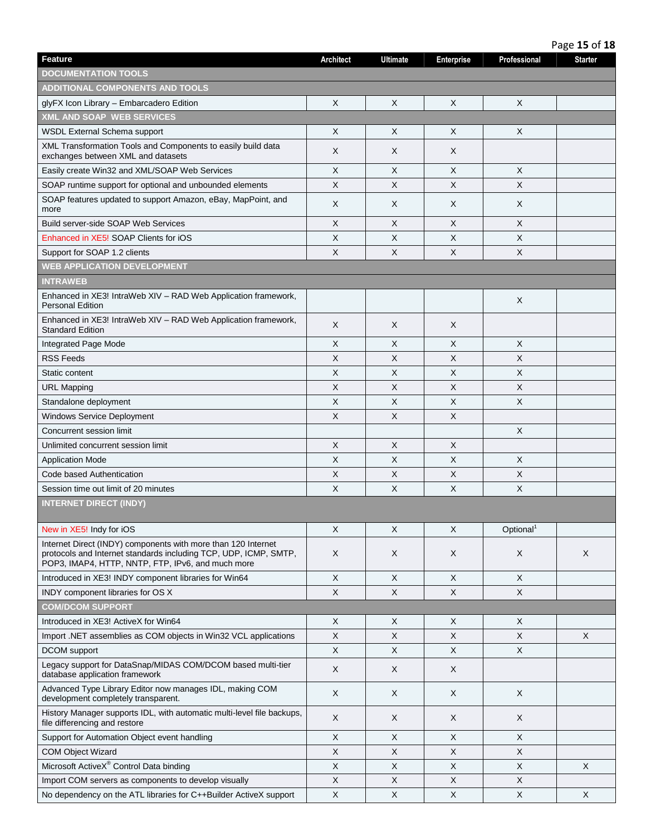|                                                                                                                                                                                        |                  |                 |                           |                       | Page 15 of 18  |
|----------------------------------------------------------------------------------------------------------------------------------------------------------------------------------------|------------------|-----------------|---------------------------|-----------------------|----------------|
| <b>Feature</b>                                                                                                                                                                         | <b>Architect</b> | <b>Ultimate</b> | <b>Enterprise</b>         | Professional          | <b>Starter</b> |
| <b>DOCUMENTATION TOOLS</b>                                                                                                                                                             |                  |                 |                           |                       |                |
| ADDITIONAL COMPONENTS AND TOOLS                                                                                                                                                        |                  |                 |                           |                       |                |
| glyFX Icon Library - Embarcadero Edition                                                                                                                                               | X                | X               | X                         | X                     |                |
| <b>XML AND SOAP WEB SERVICES</b>                                                                                                                                                       |                  |                 |                           |                       |                |
| <b>WSDL External Schema support</b>                                                                                                                                                    | X                | X               | X                         | X                     |                |
| XML Transformation Tools and Components to easily build data<br>exchanges between XML and datasets                                                                                     | X                | X               | X                         |                       |                |
| Easily create Win32 and XML/SOAP Web Services                                                                                                                                          | X                | $\times$        | $\times$                  | X                     |                |
| SOAP runtime support for optional and unbounded elements                                                                                                                               | X                | X               | X                         | X                     |                |
| SOAP features updated to support Amazon, eBay, MapPoint, and<br>more                                                                                                                   | X                | X               | X                         | X                     |                |
| <b>Build server-side SOAP Web Services</b>                                                                                                                                             | X                | X               | X                         | X                     |                |
| Enhanced in XE5! SOAP Clients for iOS                                                                                                                                                  | X                | X               | X                         | X                     |                |
| Support for SOAP 1.2 clients                                                                                                                                                           | X                | X               | X                         | X                     |                |
| <b>WEB APPLICATION DEVELOPMENT</b>                                                                                                                                                     |                  |                 |                           |                       |                |
| <b>INTRAWEB</b>                                                                                                                                                                        |                  |                 |                           |                       |                |
| Enhanced in XE3! IntraWeb XIV - RAD Web Application framework,<br><b>Personal Edition</b>                                                                                              |                  |                 |                           | X                     |                |
| Enhanced in XE3! IntraWeb XIV - RAD Web Application framework,<br><b>Standard Edition</b>                                                                                              | X                | X               | X                         |                       |                |
| Integrated Page Mode                                                                                                                                                                   | X                | X               | X                         | X                     |                |
| <b>RSS Feeds</b>                                                                                                                                                                       | X                | X               | X                         | X                     |                |
| Static content                                                                                                                                                                         | X                | $\times$        | $\times$                  | X                     |                |
| <b>URL Mapping</b>                                                                                                                                                                     | X                | X               | X                         | X                     |                |
| Standalone deployment                                                                                                                                                                  | X                | X               | X                         | Χ                     |                |
| <b>Windows Service Deployment</b>                                                                                                                                                      | X                | X               | X                         |                       |                |
| Concurrent session limit                                                                                                                                                               |                  |                 |                           | X                     |                |
| Unlimited concurrent session limit                                                                                                                                                     | X                | X               | $\times$                  |                       |                |
| <b>Application Mode</b>                                                                                                                                                                | X                | X               | X                         | X                     |                |
| Code based Authentication                                                                                                                                                              | X                | $\times$        | $\times$                  | X                     |                |
| Session time out limit of 20 minutes                                                                                                                                                   | X                | X               | $\times$                  | X                     |                |
| <b>INTERNET DIRECT (INDY)</b>                                                                                                                                                          |                  |                 |                           |                       |                |
| New in XE5! Indy for iOS                                                                                                                                                               | X                | X               | X                         | Optional <sup>1</sup> |                |
| Internet Direct (INDY) components with more than 120 Internet<br>protocols and Internet standards including TCP, UDP, ICMP, SMTP,<br>POP3, IMAP4, HTTP, NNTP, FTP, IPv6, and much more | X                | X               | X                         | X                     | X              |
| Introduced in XE3! INDY component libraries for Win64                                                                                                                                  | X                | X               | $\times$                  | X                     |                |
| INDY component libraries for OS X                                                                                                                                                      | X                | $\mathsf{X}$    | $\times$                  | X                     |                |
| <b>COM/DCOM SUPPORT</b>                                                                                                                                                                |                  |                 |                           |                       |                |
| Introduced in XE3! ActiveX for Win64                                                                                                                                                   | X                | X               | $\times$                  | X                     |                |
| Import .NET assemblies as COM objects in Win32 VCL applications                                                                                                                        | X                | X               | X                         | X                     | X              |
| DCOM support                                                                                                                                                                           | X                | X               | $\boldsymbol{\mathsf{X}}$ | X                     |                |
| Legacy support for DataSnap/MIDAS COM/DCOM based multi-tier<br>database application framework                                                                                          | X                | X               | X                         |                       |                |
| Advanced Type Library Editor now manages IDL, making COM<br>development completely transparent.                                                                                        | X                | X               | X                         | X                     |                |
| History Manager supports IDL, with automatic multi-level file backups,<br>file differencing and restore                                                                                | X                | X               | X                         | X                     |                |
| Support for Automation Object event handling                                                                                                                                           | X                | X               | $\times$                  | X                     |                |
| <b>COM Object Wizard</b>                                                                                                                                                               | X                | X               | X                         | X                     |                |
| Microsoft ActiveX® Control Data binding                                                                                                                                                | X                | X               | $\times$                  | X                     | X              |
| Import COM servers as components to develop visually                                                                                                                                   | X                | X               | X                         | X                     |                |
| No dependency on the ATL libraries for C++Builder ActiveX support                                                                                                                      | X                | $\mathsf{X}$    | $\times$                  | X                     | X              |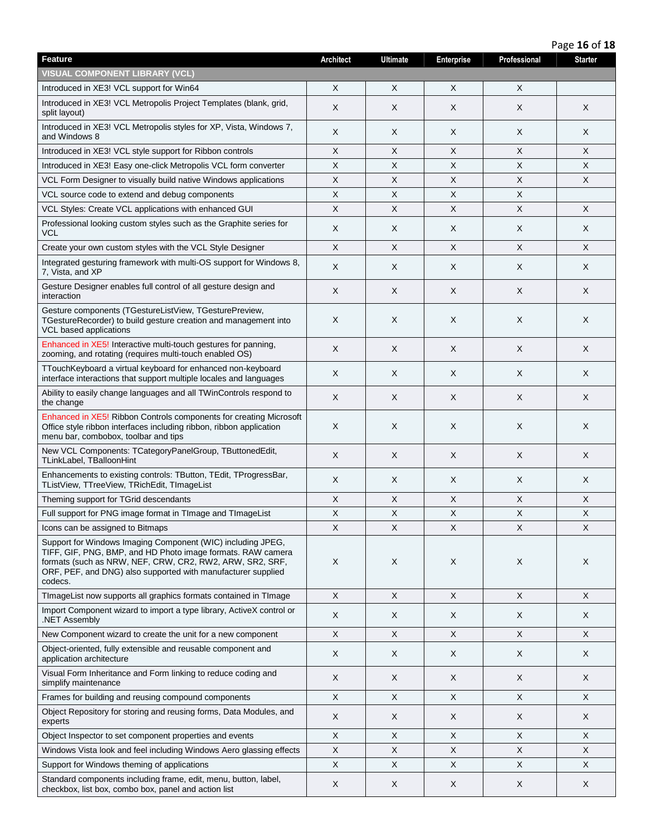|                                                                                                                                                                                                                                                                   | Page 16 of 18             |                 |                           |              |                |  |  |  |
|-------------------------------------------------------------------------------------------------------------------------------------------------------------------------------------------------------------------------------------------------------------------|---------------------------|-----------------|---------------------------|--------------|----------------|--|--|--|
| <b>Feature</b>                                                                                                                                                                                                                                                    | <b>Architect</b>          | <b>Ultimate</b> | <b>Enterprise</b>         | Professional | <b>Starter</b> |  |  |  |
| <b>VISUAL COMPONENT LIBRARY (VCL)</b>                                                                                                                                                                                                                             |                           |                 |                           |              |                |  |  |  |
| Introduced in XE3! VCL support for Win64                                                                                                                                                                                                                          | X                         | X               | X                         | X            |                |  |  |  |
| Introduced in XE3! VCL Metropolis Project Templates (blank, grid,<br>split layout)                                                                                                                                                                                | X                         | X               | X                         | X            | X              |  |  |  |
| Introduced in XE3! VCL Metropolis styles for XP, Vista, Windows 7,<br>and Windows 8                                                                                                                                                                               | X                         | X               | X                         | Χ            | X              |  |  |  |
| Introduced in XE3! VCL style support for Ribbon controls                                                                                                                                                                                                          | X                         | X               | X                         | X            | X              |  |  |  |
| Introduced in XE3! Easy one-click Metropolis VCL form converter                                                                                                                                                                                                   | X                         | X               | $\boldsymbol{\mathsf{X}}$ | X            | X              |  |  |  |
| VCL Form Designer to visually build native Windows applications                                                                                                                                                                                                   | X                         | X               | $\boldsymbol{\mathsf{X}}$ | X            | X              |  |  |  |
| VCL source code to extend and debug components                                                                                                                                                                                                                    | X                         | X               | X                         | X            |                |  |  |  |
| VCL Styles: Create VCL applications with enhanced GUI                                                                                                                                                                                                             | X                         | X               | X                         | X            | X              |  |  |  |
| Professional looking custom styles such as the Graphite series for<br>VCL                                                                                                                                                                                         | X                         | X               | X                         | X            | X              |  |  |  |
| Create your own custom styles with the VCL Style Designer                                                                                                                                                                                                         | X                         | $\mathsf{X}$    | X                         | X            | X              |  |  |  |
| Integrated gesturing framework with multi-OS support for Windows 8,<br>7, Vista, and XP                                                                                                                                                                           | X                         | X               | $\times$                  | X            | X              |  |  |  |
| Gesture Designer enables full control of all gesture design and<br>interaction                                                                                                                                                                                    | X                         | X               | X                         | X            | X              |  |  |  |
| Gesture components (TGestureListView, TGesturePreview,<br>TGestureRecorder) to build gesture creation and management into<br>VCL based applications                                                                                                               | X                         | X               | $\times$                  | X            | X              |  |  |  |
| Enhanced in XE5! Interactive multi-touch gestures for panning,<br>zooming, and rotating (requires multi-touch enabled OS)                                                                                                                                         | $\times$                  | X               | $\sf X$                   | X            | X              |  |  |  |
| TTouchKeyboard a virtual keyboard for enhanced non-keyboard<br>interface interactions that support multiple locales and languages                                                                                                                                 | X                         | X               | X                         | X            | X              |  |  |  |
| Ability to easily change languages and all TWinControls respond to<br>the change                                                                                                                                                                                  | X                         | X               | X                         | X            | X              |  |  |  |
| Enhanced in XE5! Ribbon Controls components for creating Microsoft<br>Office style ribbon interfaces including ribbon, ribbon application<br>menu bar, combobox, toolbar and tips                                                                                 | X                         | X               | X                         | X            | X              |  |  |  |
| New VCL Components: TCategoryPanelGroup, TButtonedEdit,<br>TLinkLabel, TBalloonHint                                                                                                                                                                               | X                         | X               | $\times$                  | X            | X              |  |  |  |
| Enhancements to existing controls: TButton, TEdit, TProgressBar,<br>TListView, TTreeView, TRichEdit, TImageList                                                                                                                                                   | X                         | X               | X                         | Χ            | X              |  |  |  |
| Theming support for TGrid descendants                                                                                                                                                                                                                             | X                         | X               | $\mathsf X$               | X            | X              |  |  |  |
| Full support for PNG image format in TImage and TImageList                                                                                                                                                                                                        | X                         | X               | $\mathsf X$               | X            | X              |  |  |  |
| Icons can be assigned to Bitmaps                                                                                                                                                                                                                                  | $\boldsymbol{\mathsf{X}}$ | X               | $\boldsymbol{\mathsf{X}}$ | X            | X              |  |  |  |
| Support for Windows Imaging Component (WIC) including JPEG,<br>TIFF, GIF, PNG, BMP, and HD Photo image formats. RAW camera<br>formats (such as NRW, NEF, CRW, CR2, RW2, ARW, SR2, SRF,<br>ORF, PEF, and DNG) also supported with manufacturer supplied<br>codecs. | X                         | X               | X                         | X            | X              |  |  |  |
| TImageList now supports all graphics formats contained in TImage                                                                                                                                                                                                  | X                         | X               | $\sf X$                   | X            | $\times$       |  |  |  |
| Import Component wizard to import a type library, ActiveX control or<br>NET Assembly                                                                                                                                                                              | X                         | X               | X                         | X            | X              |  |  |  |
| New Component wizard to create the unit for a new component                                                                                                                                                                                                       | X                         | X               | $\boldsymbol{\mathsf{X}}$ | X            | X              |  |  |  |
| Object-oriented, fully extensible and reusable component and<br>application architecture                                                                                                                                                                          | X                         | X               | X                         | X            | X              |  |  |  |
| Visual Form Inheritance and Form linking to reduce coding and<br>simplify maintenance                                                                                                                                                                             | X                         | X               | $\sf X$                   | X            | X              |  |  |  |
| Frames for building and reusing compound components                                                                                                                                                                                                               | X                         | X               | $\times$                  | X            | $\times$       |  |  |  |
| Object Repository for storing and reusing forms, Data Modules, and<br>experts                                                                                                                                                                                     | X                         | X               | X                         | X            | X              |  |  |  |
| Object Inspector to set component properties and events                                                                                                                                                                                                           | X                         | X               | $\times$                  | X            | X              |  |  |  |
| Windows Vista look and feel including Windows Aero glassing effects                                                                                                                                                                                               | X                         | X               | X                         | X            | X              |  |  |  |
| Support for Windows theming of applications                                                                                                                                                                                                                       | X                         | X               | $\times$                  | X            | X              |  |  |  |
| Standard components including frame, edit, menu, button, label,<br>checkbox, list box, combo box, panel and action list                                                                                                                                           | X                         | X               | X                         | X            | X              |  |  |  |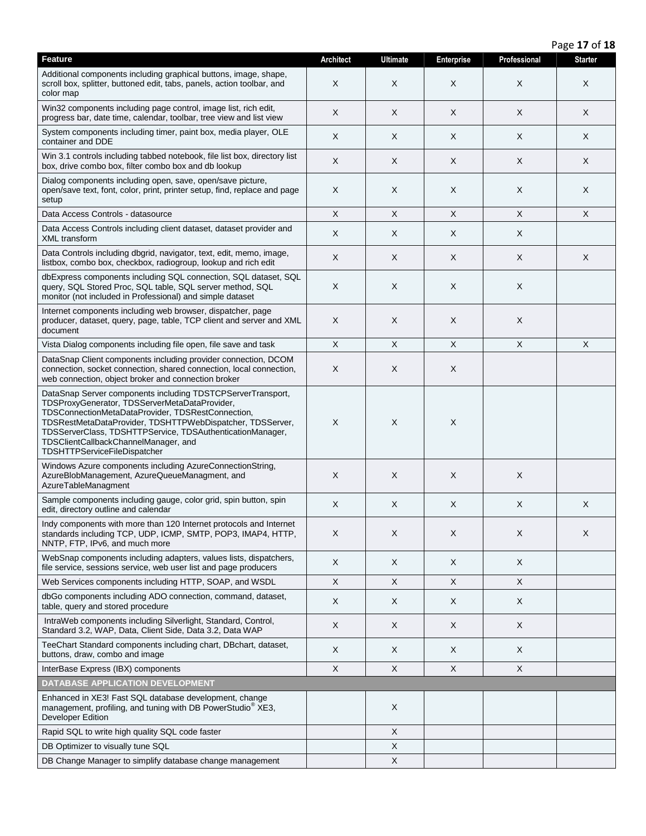|                                                                                                                                                                                                                                                                                                                                                                            |                           |                 |                   |              | Page 17 of 18             |
|----------------------------------------------------------------------------------------------------------------------------------------------------------------------------------------------------------------------------------------------------------------------------------------------------------------------------------------------------------------------------|---------------------------|-----------------|-------------------|--------------|---------------------------|
| <b>Feature</b>                                                                                                                                                                                                                                                                                                                                                             | <b>Architect</b>          | <b>Ultimate</b> | <b>Enterprise</b> | Professional | <b>Starter</b>            |
| Additional components including graphical buttons, image, shape,<br>scroll box, splitter, buttoned edit, tabs, panels, action toolbar, and<br>color map                                                                                                                                                                                                                    | X                         | X               | X                 | X            | X                         |
| Win32 components including page control, image list, rich edit,<br>progress bar, date time, calendar, toolbar, tree view and list view                                                                                                                                                                                                                                     | X                         | X               | X                 | X            | X                         |
| System components including timer, paint box, media player, OLE<br>container and DDE                                                                                                                                                                                                                                                                                       | X                         | X               | X                 | X            | X                         |
| Win 3.1 controls including tabbed notebook, file list box, directory list<br>box, drive combo box, filter combo box and db lookup                                                                                                                                                                                                                                          | X                         | X               | X                 | X            | X                         |
| Dialog components including open, save, open/save picture,<br>open/save text, font, color, print, printer setup, find, replace and page<br>setup                                                                                                                                                                                                                           | X                         | X               | X                 | X            | X                         |
| Data Access Controls - datasource                                                                                                                                                                                                                                                                                                                                          | $\mathsf X$               | X               | X                 | X            | X                         |
| Data Access Controls including client dataset, dataset provider and<br>XML transform                                                                                                                                                                                                                                                                                       | X                         | X               | X                 | X            |                           |
| Data Controls including dbgrid, navigator, text, edit, memo, image,<br>listbox, combo box, checkbox, radiogroup, lookup and rich edit                                                                                                                                                                                                                                      | X                         | X               | X                 | X            | X                         |
| dbExpress components including SQL connection, SQL dataset, SQL<br>query, SQL Stored Proc, SQL table, SQL server method, SQL<br>monitor (not included in Professional) and simple dataset                                                                                                                                                                                  | X                         | Χ               | X                 | X            |                           |
| Internet components including web browser, dispatcher, page<br>producer, dataset, query, page, table, TCP client and server and XML<br>document                                                                                                                                                                                                                            | X                         | X               | X                 | X            |                           |
| Vista Dialog components including file open, file save and task                                                                                                                                                                                                                                                                                                            | $\boldsymbol{\mathsf{X}}$ | X               | X                 | X            | $\boldsymbol{\mathsf{X}}$ |
| DataSnap Client components including provider connection, DCOM<br>connection, socket connection, shared connection, local connection,<br>web connection, object broker and connection broker                                                                                                                                                                               | X                         | Χ               | X                 |              |                           |
| DataSnap Server components including TDSTCPServerTransport,<br>TDSProxyGenerator, TDSServerMetaDataProvider,<br>TDSConnectionMetaDataProvider, TDSRestConnection,<br>TDSRestMetaDataProvider, TDSHTTPWebDispatcher, TDSServer,<br>TDSServerClass, TDSHTTPService, TDSAuthenticationManager,<br>TDSClientCallbackChannelManager, and<br><b>TDSHTTPServiceFileDispatcher</b> | $\boldsymbol{\mathsf{X}}$ | X               | $\mathsf X$       |              |                           |
| Windows Azure components including AzureConnectionString,<br>AzureBlobManagement, AzureQueueManagment, and<br>AzureTableManagment                                                                                                                                                                                                                                          | X                         | X               | X                 | X            |                           |
| Sample components including gauge, color grid, spin button, spin<br>edit, directory outline and calendar                                                                                                                                                                                                                                                                   | X                         | X               | X                 | X            | X                         |
| Indy components with more than 120 Internet protocols and Internet<br>standards including TCP, UDP, ICMP, SMTP, POP3, IMAP4, HTTP,<br>NNTP, FTP, IPv6, and much more                                                                                                                                                                                                       | X                         | X               | X                 | X            | X                         |
| WebSnap components including adapters, values lists, dispatchers,<br>file service, sessions service, web user list and page producers                                                                                                                                                                                                                                      | X                         | X               | X                 | X            |                           |
| Web Services components including HTTP, SOAP, and WSDL                                                                                                                                                                                                                                                                                                                     | $\boldsymbol{\mathsf{X}}$ | X               | X                 | X            |                           |
| dbGo components including ADO connection, command, dataset,<br>table, query and stored procedure                                                                                                                                                                                                                                                                           | X                         | X               | X                 | X            |                           |
| IntraWeb components including Silverlight, Standard, Control,<br>Standard 3.2, WAP, Data, Client Side, Data 3.2, Data WAP                                                                                                                                                                                                                                                  | X                         | X               | X                 | X            |                           |
| TeeChart Standard components including chart, DBchart, dataset,<br>buttons, draw, combo and image                                                                                                                                                                                                                                                                          | X                         | X               | X                 | X            |                           |
| InterBase Express (IBX) components                                                                                                                                                                                                                                                                                                                                         | X                         | X               | $\sf X$           | X            |                           |
| <b>DATABASE APPLICATION DEVELOPMENT</b>                                                                                                                                                                                                                                                                                                                                    |                           |                 |                   |              |                           |
| Enhanced in XE3! Fast SQL database development, change<br>management, profiling, and tuning with DB PowerStudio <sup>®</sup> XE3,<br>Developer Edition                                                                                                                                                                                                                     |                           | X               |                   |              |                           |
| Rapid SQL to write high quality SQL code faster                                                                                                                                                                                                                                                                                                                            |                           | X               |                   |              |                           |
| DB Optimizer to visually tune SQL                                                                                                                                                                                                                                                                                                                                          |                           | X               |                   |              |                           |
| DB Change Manager to simplify database change management                                                                                                                                                                                                                                                                                                                   |                           | Χ               |                   |              |                           |